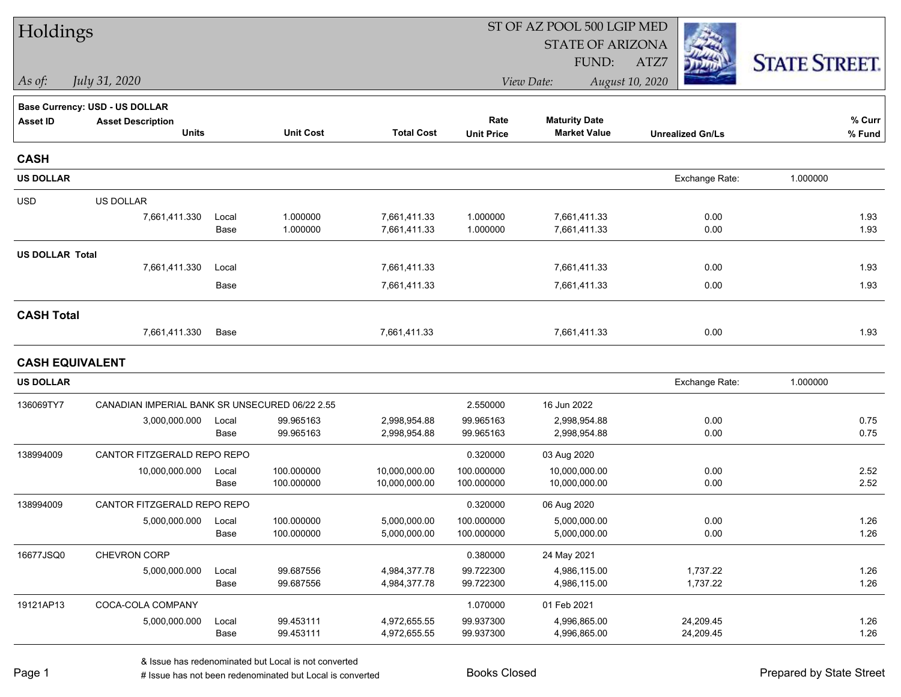| Holdings               |                                                |               |                          |                                |                          | ST OF AZ POOL 500 LGIP MED     |                         |                      |
|------------------------|------------------------------------------------|---------------|--------------------------|--------------------------------|--------------------------|--------------------------------|-------------------------|----------------------|
|                        |                                                |               |                          |                                |                          | <b>STATE OF ARIZONA</b>        |                         |                      |
|                        |                                                |               |                          |                                |                          | FUND:                          | ATZ7                    | <b>STATE STREET.</b> |
| As of:                 | July 31, 2020                                  |               |                          |                                |                          | View Date:                     | August 10, 2020         |                      |
|                        | Base Currency: USD - US DOLLAR                 |               |                          |                                |                          |                                |                         |                      |
| <b>Asset ID</b>        | <b>Asset Description</b>                       |               |                          |                                | Rate                     | <b>Maturity Date</b>           |                         | % Curr               |
|                        | <b>Units</b>                                   |               | <b>Unit Cost</b>         | <b>Total Cost</b>              | <b>Unit Price</b>        | <b>Market Value</b>            | <b>Unrealized Gn/Ls</b> | % Fund               |
| <b>CASH</b>            |                                                |               |                          |                                |                          |                                |                         |                      |
| <b>US DOLLAR</b>       |                                                |               |                          |                                |                          |                                | Exchange Rate:          | 1.000000             |
| <b>USD</b>             | US DOLLAR                                      |               |                          |                                |                          |                                |                         |                      |
|                        | 7,661,411.330                                  | Local         | 1.000000                 | 7,661,411.33                   | 1.000000                 | 7,661,411.33                   | 0.00                    | 1.93                 |
|                        |                                                | Base          | 1.000000                 | 7,661,411.33                   | 1.000000                 | 7,661,411.33                   | 0.00                    | 1.93                 |
| <b>US DOLLAR Total</b> |                                                |               |                          |                                |                          |                                |                         |                      |
|                        | 7,661,411.330                                  | Local         |                          | 7,661,411.33                   |                          | 7,661,411.33                   | 0.00                    | 1.93                 |
|                        |                                                | Base          |                          | 7,661,411.33                   |                          | 7,661,411.33                   | 0.00                    | 1.93                 |
| <b>CASH Total</b>      |                                                |               |                          |                                |                          |                                |                         |                      |
|                        | 7,661,411.330                                  | Base          |                          | 7,661,411.33                   |                          | 7,661,411.33                   | 0.00                    | 1.93                 |
| <b>CASH EQUIVALENT</b> |                                                |               |                          |                                |                          |                                |                         |                      |
| <b>US DOLLAR</b>       |                                                |               |                          |                                |                          |                                | Exchange Rate:          | 1.000000             |
| 136069TY7              | CANADIAN IMPERIAL BANK SR UNSECURED 06/22 2.55 |               |                          |                                | 2.550000                 | 16 Jun 2022                    |                         |                      |
|                        | 3,000,000.000                                  | Local         | 99.965163                | 2,998,954.88                   | 99.965163                | 2,998,954.88                   | 0.00                    | 0.75                 |
|                        |                                                | Base          | 99.965163                | 2,998,954.88                   | 99.965163                | 2,998,954.88                   | 0.00                    | 0.75                 |
| 138994009              | CANTOR FITZGERALD REPO REPO                    |               |                          |                                | 0.320000                 | 03 Aug 2020                    |                         |                      |
|                        | 10,000,000.000                                 | Local<br>Base | 100.000000<br>100.000000 | 10,000,000.00<br>10,000,000.00 | 100.000000<br>100.000000 | 10,000,000.00<br>10,000,000.00 | 0.00<br>0.00            | 2.52<br>2.52         |
| 138994009              | CANTOR FITZGERALD REPO REPO                    |               |                          |                                | 0.320000                 | 06 Aug 2020                    |                         |                      |
|                        | 5,000,000.000                                  | Local         | 100.000000               | 5,000,000.00                   | 100.000000               | 5,000,000.00                   | 0.00                    | 1.26                 |
|                        |                                                | Base          | 100.000000               | 5,000,000.00                   | 100.000000               | 5,000,000.00                   | 0.00                    | 1.26                 |
| 16677JSQ0              | CHEVRON CORP                                   |               |                          |                                | 0.380000                 | 24 May 2021                    |                         |                      |
|                        | 5,000,000.000                                  | Local         | 99.687556                | 4,984,377.78                   | 99.722300                | 4,986,115.00                   | 1,737.22                | 1.26                 |
|                        |                                                | Base          | 99.687556                | 4,984,377.78                   | 99.722300                | 4,986,115.00                   | 1,737.22                | 1.26                 |
| 19121AP13              | COCA-COLA COMPANY                              |               |                          |                                | 1.070000                 | 01 Feb 2021                    |                         |                      |
|                        | 5,000,000.000                                  | Local<br>Base | 99.453111<br>99.453111   | 4,972,655.55<br>4,972,655.55   | 99.937300<br>99.937300   | 4,996,865.00<br>4,996,865.00   | 24,209.45<br>24,209.45  | 1.26<br>1.26         |
|                        |                                                |               |                          |                                |                          |                                |                         |                      |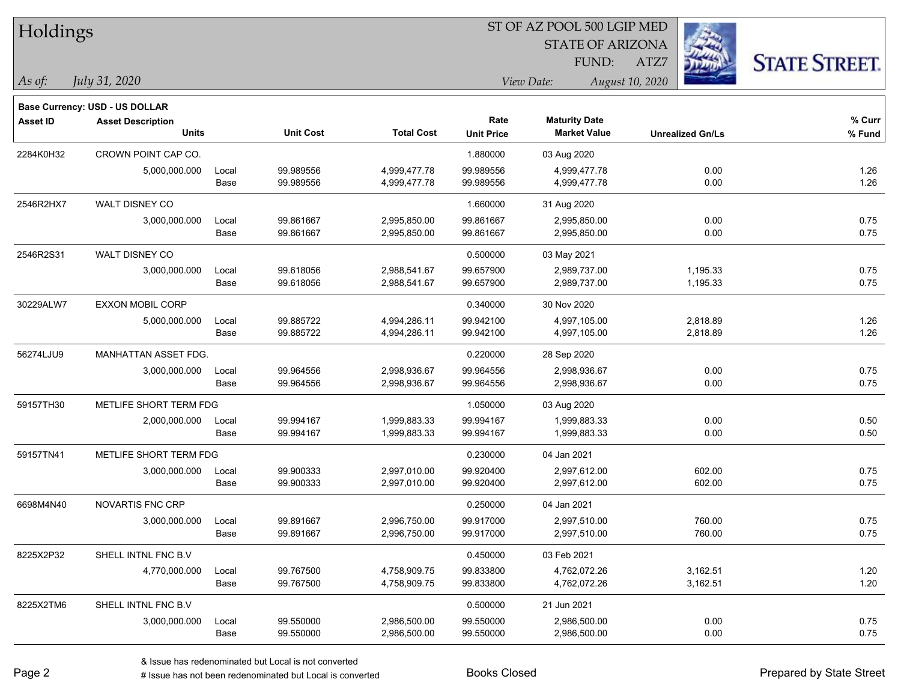| Holdings |               |  |  |
|----------|---------------|--|--|
| As of:   | July 31, 2020 |  |  |

**Base Currency: USD - US DOLLAR**

#### ST OF AZ POOL 500 LGIP MED

STATE OF ARIZONA FUND:

ATZ7



*As of: View Date: August 10, 2020*

| Asset ID  | <b>Asset Description</b>    |       |                  |                   | Rate              | <b>Maturity Date</b> |                         | % Curr |
|-----------|-----------------------------|-------|------------------|-------------------|-------------------|----------------------|-------------------------|--------|
|           | <b>Units</b>                |       | <b>Unit Cost</b> | <b>Total Cost</b> | <b>Unit Price</b> | <b>Market Value</b>  | <b>Unrealized Gn/Ls</b> | % Fund |
| 2284K0H32 | CROWN POINT CAP CO.         |       |                  |                   | 1.880000          | 03 Aug 2020          |                         |        |
|           | 5,000,000.000               | Local | 99.989556        | 4,999,477.78      | 99.989556         | 4,999,477.78         | 0.00                    | 1.26   |
|           |                             | Base  | 99.989556        | 4,999,477.78      | 99.989556         | 4,999,477.78         | 0.00                    | 1.26   |
| 2546R2HX7 | WALT DISNEY CO              |       |                  |                   | 1.660000          | 31 Aug 2020          |                         |        |
|           | 3,000,000.000               | Local | 99.861667        | 2,995,850.00      | 99.861667         | 2,995,850.00         | 0.00                    | 0.75   |
|           |                             | Base  | 99.861667        | 2,995,850.00      | 99.861667         | 2,995,850.00         | 0.00                    | 0.75   |
| 2546R2S31 | WALT DISNEY CO              |       |                  |                   | 0.500000          | 03 May 2021          |                         |        |
|           | 3,000,000.000               | Local | 99.618056        | 2,988,541.67      | 99.657900         | 2,989,737.00         | 1,195.33                | 0.75   |
|           |                             | Base  | 99.618056        | 2,988,541.67      | 99.657900         | 2,989,737.00         | 1,195.33                | 0.75   |
| 30229ALW7 | <b>EXXON MOBIL CORP</b>     |       |                  |                   | 0.340000          | 30 Nov 2020          |                         |        |
|           | 5,000,000.000               | Local | 99.885722        | 4,994,286.11      | 99.942100         | 4,997,105.00         | 2,818.89                | 1.26   |
|           |                             | Base  | 99.885722        | 4,994,286.11      | 99.942100         | 4,997,105.00         | 2,818.89                | 1.26   |
| 56274LJU9 | <b>MANHATTAN ASSET FDG.</b> |       |                  |                   | 0.220000          | 28 Sep 2020          |                         |        |
|           | 3,000,000.000               | Local | 99.964556        | 2,998,936.67      | 99.964556         | 2,998,936.67         | 0.00                    | 0.75   |
|           |                             | Base  | 99.964556        | 2,998,936.67      | 99.964556         | 2,998,936.67         | 0.00                    | 0.75   |
| 59157TH30 | METLIFE SHORT TERM FDG      |       |                  |                   | 1.050000          | 03 Aug 2020          |                         |        |
|           | 2,000,000.000               | Local | 99.994167        | 1,999,883.33      | 99.994167         | 1,999,883.33         | 0.00                    | 0.50   |
|           |                             | Base  | 99.994167        | 1,999,883.33      | 99.994167         | 1,999,883.33         | 0.00                    | 0.50   |
| 59157TN41 | METLIFE SHORT TERM FDG      |       |                  |                   | 0.230000          | 04 Jan 2021          |                         |        |
|           | 3,000,000.000               | Local | 99.900333        | 2,997,010.00      | 99.920400         | 2,997,612.00         | 602.00                  | 0.75   |
|           |                             | Base  | 99.900333        | 2,997,010.00      | 99.920400         | 2,997,612.00         | 602.00                  | 0.75   |
| 6698M4N40 | NOVARTIS FNC CRP            |       |                  |                   | 0.250000          | 04 Jan 2021          |                         |        |
|           | 3,000,000.000               | Local | 99.891667        | 2,996,750.00      | 99.917000         | 2,997,510.00         | 760.00                  | 0.75   |
|           |                             | Base  | 99.891667        | 2,996,750.00      | 99.917000         | 2,997,510.00         | 760.00                  | 0.75   |
| 8225X2P32 | SHELL INTNL FNC B.V         |       |                  |                   | 0.450000          | 03 Feb 2021          |                         |        |
|           | 4,770,000.000               | Local | 99.767500        | 4,758,909.75      | 99.833800         | 4,762,072.26         | 3,162.51                | 1.20   |
|           |                             | Base  | 99.767500        | 4,758,909.75      | 99.833800         | 4,762,072.26         | 3,162.51                | 1.20   |
| 8225X2TM6 | SHELL INTNL FNC B.V         |       |                  |                   | 0.500000          | 21 Jun 2021          |                         |        |
|           | 3,000,000.000               | Local | 99.550000        | 2,986,500.00      | 99.550000         | 2,986,500.00         | 0.00                    | 0.75   |
|           |                             | Base  | 99.550000        | 2,986,500.00      | 99.550000         | 2,986,500.00         | 0.00                    | 0.75   |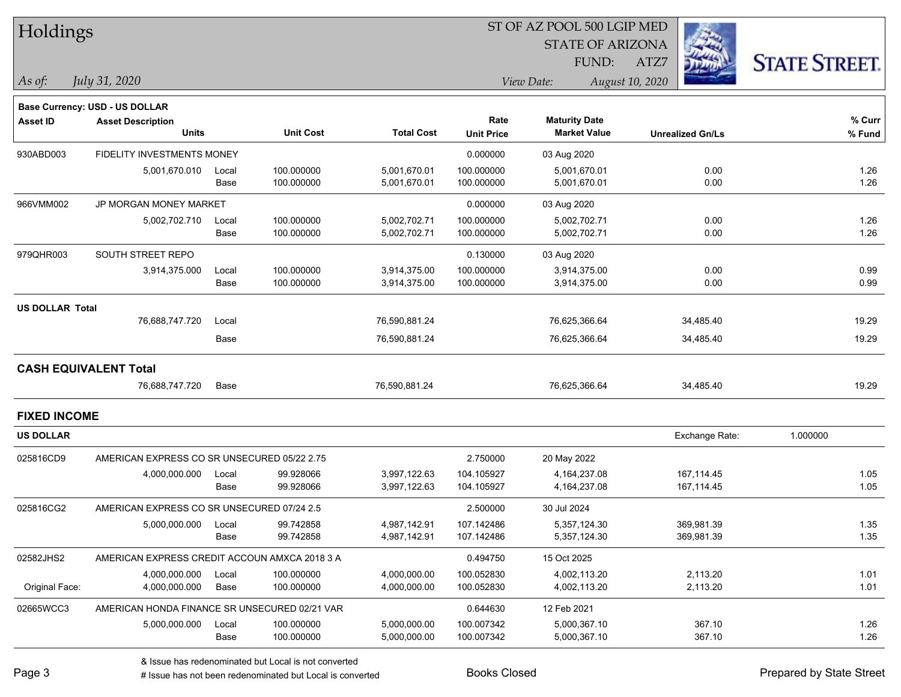| Holdings               |                                               |               |                          |                              |                           | 51 OF AZ POOL 500 LGIP MED<br><b>STATE OF ARIZONA</b> |                          |                      |
|------------------------|-----------------------------------------------|---------------|--------------------------|------------------------------|---------------------------|-------------------------------------------------------|--------------------------|----------------------|
|                        |                                               |               |                          |                              |                           | <b>FUND:</b>                                          | ATZ7                     | <b>STATE STREET.</b> |
| As of:                 | July 31, 2020                                 |               |                          |                              |                           | View Date:                                            | August 10, 2020          |                      |
|                        | Base Currency: USD - US DOLLAR                |               |                          |                              |                           |                                                       |                          |                      |
| <b>Asset ID</b>        | <b>Asset Description</b><br><b>Units</b>      |               | <b>Unit Cost</b>         | <b>Total Cost</b>            | Rate<br><b>Unit Price</b> | <b>Maturity Date</b><br><b>Market Value</b>           | <b>Unrealized Gn/Ls</b>  | % Curr<br>% Fund     |
| 930ABD003              | FIDELITY INVESTMENTS MONEY                    |               |                          |                              | 0.000000                  | 03 Aug 2020                                           |                          |                      |
|                        | 5,001,670.010                                 | Local<br>Base | 100.000000<br>100.000000 | 5,001,670.01<br>5,001,670.01 | 100.000000<br>100.000000  | 5,001,670.01<br>5,001,670.01                          | 0.00<br>0.00             | 1.26<br>1.26         |
| 966VMM002              | <b>JP MORGAN MONEY MARKET</b>                 |               |                          |                              | 0.000000                  | 03 Aug 2020                                           |                          |                      |
|                        | 5,002,702.710                                 | Local<br>Base | 100.000000<br>100.000000 | 5,002,702.71<br>5,002,702.71 | 100.000000<br>100.000000  | 5,002,702.71<br>5,002,702.71                          | 0.00<br>0.00             | 1.26<br>1.26         |
| 979QHR003              | SOUTH STREET REPO                             |               |                          |                              | 0.130000                  | 03 Aug 2020                                           |                          |                      |
|                        | 3,914,375.000                                 | Local<br>Base | 100.000000<br>100.000000 | 3,914,375.00<br>3,914,375.00 | 100.000000<br>100.000000  | 3,914,375.00<br>3,914,375.00                          | 0.00<br>0.00             | 0.99<br>0.99         |
| <b>US DOLLAR Total</b> |                                               |               |                          |                              |                           |                                                       |                          |                      |
|                        | 76,688,747.720                                | Local         |                          | 76,590,881.24                |                           | 76,625,366.64                                         | 34,485.40                | 19.29                |
|                        |                                               | Base          |                          | 76,590,881.24                |                           | 76,625,366.64                                         | 34,485.40                | 19.29                |
|                        | <b>CASH EQUIVALENT Total</b>                  |               |                          |                              |                           |                                                       |                          |                      |
|                        | 76,688,747.720                                | Base          |                          | 76,590,881.24                |                           | 76,625,366.64                                         | 34,485.40                | 19.29                |
| <b>FIXED INCOME</b>    |                                               |               |                          |                              |                           |                                                       |                          |                      |
| <b>US DOLLAR</b>       |                                               |               |                          |                              |                           |                                                       | Exchange Rate:           | 1.000000             |
| 025816CD9              | AMERICAN EXPRESS CO SR UNSECURED 05/22 2.75   |               |                          |                              | 2.750000                  | 20 May 2022                                           |                          |                      |
|                        | 4,000,000.000                                 | Local<br>Base | 99.928066<br>99.928066   | 3,997,122.63<br>3,997,122.63 | 104.105927<br>104.105927  | 4,164,237.08<br>4,164,237.08                          | 167,114.45<br>167,114.45 | 1.05<br>1.05         |
| 025816CG2              | AMERICAN EXPRESS CO SR UNSECURED 07/24 2.5    |               |                          |                              | 2.500000                  | 30 Jul 2024                                           |                          |                      |
|                        | 5,000,000.000                                 | Local<br>Base | 99.742858<br>99.742858   | 4,987,142.91<br>4,987,142.91 | 107.142486<br>107.142486  | 5,357,124.30<br>5,357,124.30                          | 369.981.39<br>369,981.39 | 1.35<br>1.35         |
| 02582JHS2              | AMERICAN EXPRESS CREDIT ACCOUN AMXCA 2018 3 A |               |                          |                              | 0.494750                  | 15 Oct 2025                                           |                          |                      |
| Original Face:         | 4,000,000.000<br>4,000,000.000                | Local<br>Base | 100.000000<br>100.000000 | 4,000,000.00<br>4,000,000.00 | 100.052830<br>100.052830  | 4,002,113.20<br>4,002,113.20                          | 2,113.20<br>2,113.20     | 1.01<br>1.01         |
| 02665WCC3              | AMERICAN HONDA FINANCE SR UNSECURED 02/21 VAR |               |                          |                              | 0.644630                  | 12 Feb 2021                                           |                          |                      |
|                        | 5,000,000.000                                 | Local<br>Base | 100.000000<br>100.000000 | 5,000,000.00<br>5,000,000.00 | 100.007342<br>100.007342  | 5,000,367.10<br>5,000,367.10                          | 367.10<br>367.10         | 1.26<br>1.26         |

 $\overline{\text{SUS}}$   $\overline{\text{SUS}}$   $\overline{\text{SUS}}$   $\overline{\text{SUS}}$   $\overline{\text{SUS}}$   $\overline{\text{SUS}}$ 

denote the redenominated but Local is converted Books Closed Prepared by State Street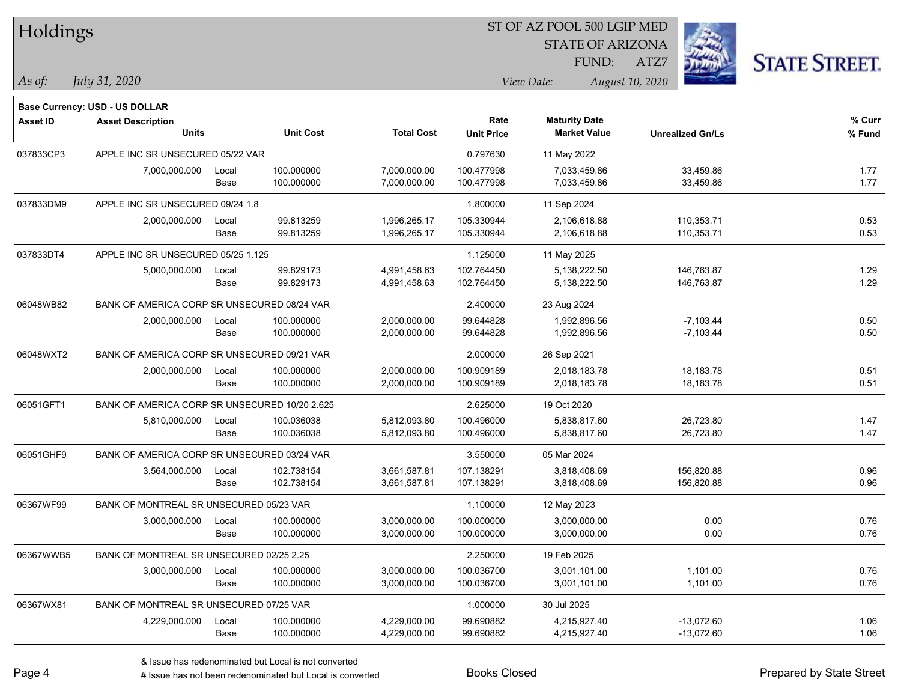| Holdings        |                                                                   |       |                  |                   |                   | ST OF AZ POOL 500 LGIP MED |                         |                      |
|-----------------|-------------------------------------------------------------------|-------|------------------|-------------------|-------------------|----------------------------|-------------------------|----------------------|
|                 |                                                                   |       |                  |                   |                   | <b>STATE OF ARIZONA</b>    |                         |                      |
|                 |                                                                   |       |                  |                   |                   | FUND:                      | ATZ7                    | <b>STATE STREET.</b> |
| $ As\;of:$      | July 31, 2020                                                     |       |                  |                   |                   | View Date:                 | August 10, 2020         |                      |
|                 |                                                                   |       |                  |                   |                   |                            |                         |                      |
| <b>Asset ID</b> | <b>Base Currency: USD - US DOLLAR</b><br><b>Asset Description</b> |       |                  |                   | Rate              | <b>Maturity Date</b>       |                         | % Curr               |
|                 | <b>Units</b>                                                      |       | <b>Unit Cost</b> | <b>Total Cost</b> | <b>Unit Price</b> | <b>Market Value</b>        | <b>Unrealized Gn/Ls</b> | % Fund               |
| 037833CP3       | APPLE INC SR UNSECURED 05/22 VAR                                  |       |                  |                   | 0.797630          | 11 May 2022                |                         |                      |
|                 | 7,000,000.000                                                     | Local | 100.000000       | 7,000,000.00      | 100.477998        | 7,033,459.86               | 33,459.86               | 1.77                 |
|                 |                                                                   | Base  | 100.000000       | 7,000,000.00      | 100.477998        | 7,033,459.86               | 33,459.86               | 1.77                 |
| 037833DM9       | APPLE INC SR UNSECURED 09/24 1.8                                  |       |                  |                   | 1.800000          | 11 Sep 2024                |                         |                      |
|                 | 2,000,000.000                                                     | Local | 99.813259        | 1,996,265.17      | 105.330944        | 2,106,618.88               | 110,353.71              | 0.53                 |
|                 |                                                                   | Base  | 99.813259        | 1,996,265.17      | 105.330944        | 2,106,618.88               | 110,353.71              | 0.53                 |
| 037833DT4       | APPLE INC SR UNSECURED 05/25 1.125                                |       |                  |                   | 1.125000          | 11 May 2025                |                         |                      |
|                 | 5,000,000.000                                                     | Local | 99.829173        | 4,991,458.63      | 102.764450        | 5,138,222.50               | 146,763.87              | 1.29                 |
|                 |                                                                   | Base  | 99.829173        | 4,991,458.63      | 102.764450        | 5,138,222.50               | 146,763.87              | 1.29                 |
| 06048WB82       | BANK OF AMERICA CORP SR UNSECURED 08/24 VAR                       |       |                  |                   | 2.400000          | 23 Aug 2024                |                         |                      |
|                 | 2,000,000.000                                                     | Local | 100.000000       | 2,000,000.00      | 99.644828         | 1,992,896.56               | $-7,103.44$             | 0.50                 |
|                 |                                                                   | Base  | 100.000000       | 2,000,000.00      | 99.644828         | 1,992,896.56               | $-7,103.44$             | 0.50                 |
| 06048WXT2       | BANK OF AMERICA CORP SR UNSECURED 09/21 VAR                       |       |                  |                   | 2.000000          | 26 Sep 2021                |                         |                      |
|                 | 2,000,000.000                                                     | Local | 100.000000       | 2,000,000.00      | 100.909189        | 2,018,183.78               | 18, 183. 78             | 0.51                 |
|                 |                                                                   | Base  | 100.000000       | 2,000,000.00      | 100.909189        | 2,018,183.78               | 18,183.78               | 0.51                 |
| 06051GFT1       | BANK OF AMERICA CORP SR UNSECURED 10/20 2.625                     |       |                  |                   | 2.625000          | 19 Oct 2020                |                         |                      |
|                 | 5,810,000.000                                                     | Local | 100.036038       | 5,812,093.80      | 100.496000        | 5,838,817.60               | 26,723.80               | 1.47                 |
|                 |                                                                   | Base  | 100.036038       | 5,812,093.80      | 100.496000        | 5,838,817.60               | 26,723.80               | 1.47                 |
| 06051GHF9       | BANK OF AMERICA CORP SR UNSECURED 03/24 VAR                       |       |                  |                   | 3.550000          | 05 Mar 2024                |                         |                      |
|                 | 3,564,000.000                                                     | Local | 102.738154       | 3,661,587.81      | 107.138291        | 3,818,408.69               | 156,820.88              | 0.96                 |
|                 |                                                                   | Base  | 102.738154       | 3,661,587.81      | 107.138291        | 3,818,408.69               | 156,820.88              | 0.96                 |
| 06367WF99       | BANK OF MONTREAL SR UNSECURED 05/23 VAR                           |       |                  |                   | 1.100000          | 12 May 2023                |                         |                      |
|                 | 3,000,000.000                                                     | Local | 100.000000       | 3,000,000.00      | 100.000000        | 3,000,000.00               | 0.00                    | 0.76                 |
|                 |                                                                   | Base  | 100.000000       | 3,000,000.00      | 100.000000        | 3,000,000.00               | 0.00                    | 0.76                 |
| 06367WWB5       | BANK OF MONTREAL SR UNSECURED 02/25 2.25                          |       |                  |                   | 2.250000          | 19 Feb 2025                |                         |                      |
|                 | 3,000,000.000                                                     | Local | 100.000000       | 3,000,000.00      | 100.036700        | 3,001,101.00               | 1,101.00                | 0.76                 |
|                 |                                                                   | Base  | 100.000000       | 3,000,000.00      | 100.036700        | 3,001,101.00               | 1,101.00                | 0.76                 |
| 06367WX81       | BANK OF MONTREAL SR UNSECURED 07/25 VAR                           |       |                  |                   | 1.000000          | 30 Jul 2025                |                         |                      |
|                 | 4,229,000.000                                                     | Local | 100.000000       | 4,229,000.00      | 99.690882         | 4,215,927.40               | $-13,072.60$            | 1.06                 |
|                 |                                                                   | Base  | 100.000000       | 4,229,000.00      | 99.690882         | 4,215,927.40               | $-13,072.60$            | 1.06                 |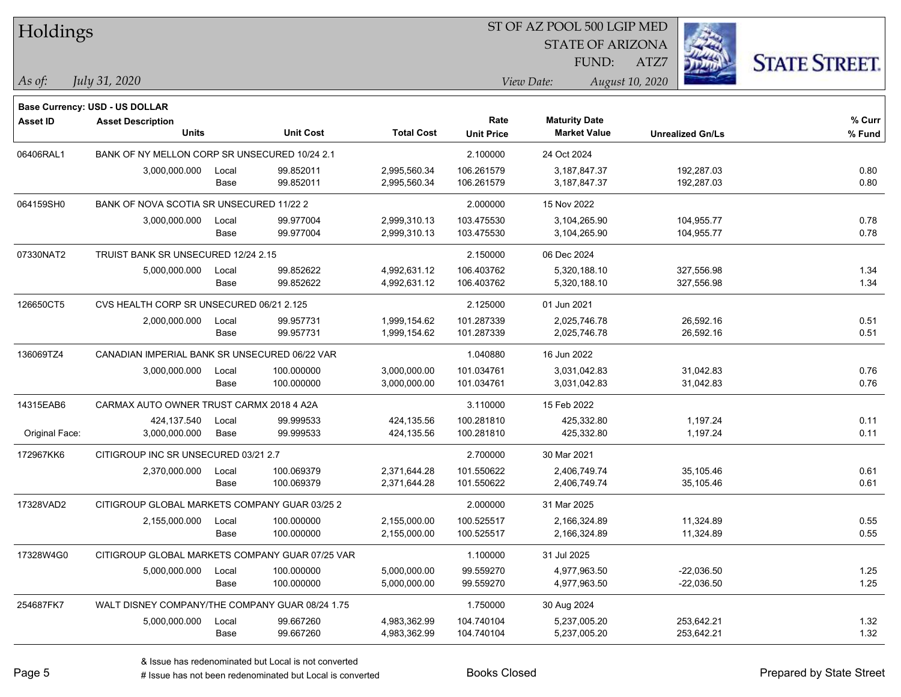| Holdings        |                                                            |       |                  |                   | ST OF AZ POOL 500 LGIP MED |                         |                         |                     |  |
|-----------------|------------------------------------------------------------|-------|------------------|-------------------|----------------------------|-------------------------|-------------------------|---------------------|--|
|                 |                                                            |       |                  |                   |                            | <b>STATE OF ARIZONA</b> |                         |                     |  |
|                 |                                                            |       |                  |                   |                            | FUND:                   | ATZ7                    | <b>STATE STREET</b> |  |
| As of:          | July 31, 2020                                              |       |                  |                   |                            | View Date:              | August 10, 2020         |                     |  |
|                 |                                                            |       |                  |                   |                            |                         |                         |                     |  |
| <b>Asset ID</b> | Base Currency: USD - US DOLLAR<br><b>Asset Description</b> |       |                  |                   | Rate                       | <b>Maturity Date</b>    |                         | % Curr              |  |
|                 | <b>Units</b>                                               |       | <b>Unit Cost</b> | <b>Total Cost</b> | <b>Unit Price</b>          | <b>Market Value</b>     | <b>Unrealized Gn/Ls</b> | % Fund              |  |
| 06406RAL1       | BANK OF NY MELLON CORP SR UNSECURED 10/24 2.1              |       |                  |                   | 2.100000                   | 24 Oct 2024             |                         |                     |  |
|                 | 3,000,000.000                                              | Local | 99.852011        | 2,995,560.34      | 106.261579                 | 3,187,847.37            | 192,287.03              | 0.80                |  |
|                 |                                                            | Base  | 99.852011        | 2,995,560.34      | 106.261579                 | 3,187,847.37            | 192,287.03              | 0.80                |  |
| 064159SH0       | BANK OF NOVA SCOTIA SR UNSECURED 11/22 2                   |       |                  |                   | 2.000000                   | 15 Nov 2022             |                         |                     |  |
|                 | 3,000,000.000                                              | Local | 99.977004        | 2,999,310.13      | 103.475530                 | 3,104,265.90            | 104,955.77              | 0.78                |  |
|                 |                                                            | Base  | 99.977004        | 2,999,310.13      | 103.475530                 | 3,104,265.90            | 104,955.77              | 0.78                |  |
| 07330NAT2       | TRUIST BANK SR UNSECURED 12/24 2.15                        |       |                  |                   | 2.150000                   | 06 Dec 2024             |                         |                     |  |
|                 | 5,000,000.000                                              | Local | 99.852622        | 4,992,631.12      | 106.403762                 | 5,320,188.10            | 327,556.98              | 1.34                |  |
|                 |                                                            | Base  | 99.852622        | 4,992,631.12      | 106.403762                 | 5,320,188.10            | 327,556.98              | 1.34                |  |
| 126650CT5       | CVS HEALTH CORP SR UNSECURED 06/21 2.125                   |       |                  |                   | 2.125000                   | 01 Jun 2021             |                         |                     |  |
|                 | 2,000,000.000                                              | Local | 99.957731        | 1,999,154.62      | 101.287339                 | 2,025,746.78            | 26,592.16               | 0.51                |  |
|                 |                                                            | Base  | 99.957731        | 1,999,154.62      | 101.287339                 | 2,025,746.78            | 26,592.16               | 0.51                |  |
| 136069TZ4       | CANADIAN IMPERIAL BANK SR UNSECURED 06/22 VAR              |       |                  |                   | 1.040880                   | 16 Jun 2022             |                         |                     |  |
|                 | 3,000,000.000                                              | Local | 100.000000       | 3,000,000.00      | 101.034761                 | 3,031,042.83            | 31,042.83               | 0.76                |  |
|                 |                                                            | Base  | 100.000000       | 3,000,000.00      | 101.034761                 | 3,031,042.83            | 31,042.83               | 0.76                |  |
| 14315EAB6       | CARMAX AUTO OWNER TRUST CARMX 2018 4 A2A                   |       |                  |                   | 3.110000                   | 15 Feb 2022             |                         |                     |  |
|                 | 424,137.540                                                | Local | 99.999533        | 424,135.56        | 100.281810                 | 425,332.80              | 1,197.24                | 0.11                |  |
| Original Face:  | 3,000,000.000                                              | Base  | 99.999533        | 424,135.56        | 100.281810                 | 425,332.80              | 1,197.24                | 0.11                |  |
| 172967KK6       | CITIGROUP INC SR UNSECURED 03/21 2.7                       |       |                  |                   | 2.700000                   | 30 Mar 2021             |                         |                     |  |
|                 | 2,370,000.000                                              | Local | 100.069379       | 2,371,644.28      | 101.550622                 | 2,406,749.74            | 35,105.46               | 0.61                |  |
|                 |                                                            | Base  | 100.069379       | 2,371,644.28      | 101.550622                 | 2,406,749.74            | 35,105.46               | 0.61                |  |
| 17328VAD2       | CITIGROUP GLOBAL MARKETS COMPANY GUAR 03/25 2              |       |                  |                   | 2.000000                   | 31 Mar 2025             |                         |                     |  |
|                 | 2,155,000.000 Local                                        |       | 100.000000       | 2,155,000.00      | 100.525517                 | 2,166,324.89            | 11,324.89               | 0.55                |  |
|                 |                                                            | Base  | 100.000000       | 2,155,000.00      | 100.525517                 | 2,166,324.89            | 11,324.89               | 0.55                |  |
| 17328W4G0       | CITIGROUP GLOBAL MARKETS COMPANY GUAR 07/25 VAR            |       |                  |                   | 1.100000                   | 31 Jul 2025             |                         |                     |  |
|                 | 5,000,000.000                                              | Local | 100.000000       | 5,000,000.00      | 99.559270                  | 4,977,963.50            | $-22,036.50$            | 1.25                |  |
|                 |                                                            | Base  | 100.000000       | 5,000,000.00      | 99.559270                  | 4,977,963.50            | $-22,036.50$            | 1.25                |  |
| 254687FK7       | WALT DISNEY COMPANY/THE COMPANY GUAR 08/24 1.75            |       |                  |                   | 1.750000                   | 30 Aug 2024             |                         |                     |  |
|                 | 5,000,000.000                                              | Local | 99.667260        | 4,983,362.99      | 104.740104                 | 5,237,005.20            | 253,642.21              | 1.32                |  |
|                 |                                                            | Base  | 99.667260        | 4,983,362.99      | 104.740104                 | 5,237,005.20            | 253,642.21              | 1.32                |  |

denote the redenominated but Local is converted Books Closed Prepared by State Street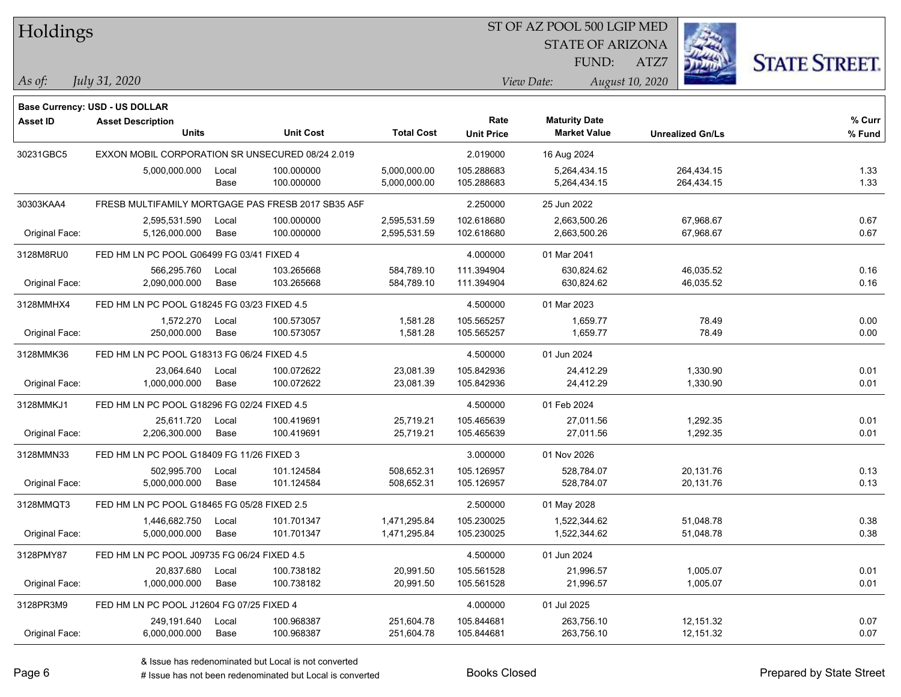Holdings

#### ST OF AZ POOL 500 LGIP MED

STATE OF ARIZONA

ATZ7



*July 31, 2020*

**Base Currency: USD - US DOLLAR**

*As of: View Date: August 10, 2020* FUND:

| Asset ID       | <b>Asset Description</b>                           |                  |                   | Rate              | <b>Maturity Date</b> |                         | % Curr |
|----------------|----------------------------------------------------|------------------|-------------------|-------------------|----------------------|-------------------------|--------|
|                | <b>Units</b>                                       | <b>Unit Cost</b> | <b>Total Cost</b> | <b>Unit Price</b> | <b>Market Value</b>  | <b>Unrealized Gn/Ls</b> | % Fund |
| 30231GBC5      | EXXON MOBIL CORPORATION SR UNSECURED 08/24 2.019   |                  |                   | 2.019000          | 16 Aug 2024          |                         |        |
|                | 5,000,000.000<br>Local                             | 100.000000       | 5,000,000.00      | 105.288683        | 5,264,434.15         | 264,434.15              | 1.33   |
|                | Base                                               | 100.000000       | 5,000,000.00      | 105.288683        | 5,264,434.15         | 264,434.15              | 1.33   |
| 30303KAA4      | FRESB MULTIFAMILY MORTGAGE PAS FRESB 2017 SB35 A5F |                  |                   | 2.250000          | 25 Jun 2022          |                         |        |
|                | 2,595,531.590<br>Local                             | 100.000000       | 2,595,531.59      | 102.618680        | 2,663,500.26         | 67,968.67               | 0.67   |
| Original Face: | 5,126,000.000<br>Base                              | 100.000000       | 2,595,531.59      | 102.618680        | 2,663,500.26         | 67,968.67               | 0.67   |
| 3128M8RU0      | FED HM LN PC POOL G06499 FG 03/41 FIXED 4          |                  |                   | 4.000000          | 01 Mar 2041          |                         |        |
|                | 566,295.760<br>Local                               | 103.265668       | 584,789.10        | 111.394904        | 630,824.62           | 46,035.52               | 0.16   |
| Original Face: | 2,090,000.000<br>Base                              | 103.265668       | 584,789.10        | 111.394904        | 630,824.62           | 46,035.52               | 0.16   |
| 3128MMHX4      | FED HM LN PC POOL G18245 FG 03/23 FIXED 4.5        |                  |                   | 4.500000          | 01 Mar 2023          |                         |        |
|                | 1,572.270<br>Local                                 | 100.573057       | 1,581.28          | 105.565257        | 1,659.77             | 78.49                   | 0.00   |
| Original Face: | 250,000.000<br>Base                                | 100.573057       | 1,581.28          | 105.565257        | 1,659.77             | 78.49                   | 0.00   |
| 3128MMK36      | FED HM LN PC POOL G18313 FG 06/24 FIXED 4.5        |                  |                   | 4.500000          | 01 Jun 2024          |                         |        |
|                | 23,064.640<br>Local                                | 100.072622       | 23,081.39         | 105.842936        | 24,412.29            | 1,330.90                | 0.01   |
| Original Face: | 1,000,000.000<br>Base                              | 100.072622       | 23,081.39         | 105.842936        | 24,412.29            | 1,330.90                | 0.01   |
| 3128MMKJ1      | FED HM LN PC POOL G18296 FG 02/24 FIXED 4.5        |                  |                   | 4.500000          | 01 Feb 2024          |                         |        |
|                | 25,611.720<br>Local                                | 100.419691       | 25,719.21         | 105.465639        | 27,011.56            | 1,292.35                | 0.01   |
| Original Face: | 2,206,300.000<br>Base                              | 100.419691       | 25,719.21         | 105.465639        | 27,011.56            | 1,292.35                | 0.01   |
| 3128MMN33      | FED HM LN PC POOL G18409 FG 11/26 FIXED 3          |                  |                   | 3.000000          | 01 Nov 2026          |                         |        |
|                | 502,995.700<br>Local                               | 101.124584       | 508,652.31        | 105.126957        | 528.784.07           | 20,131.76               | 0.13   |
| Original Face: | 5,000,000.000<br>Base                              | 101.124584       | 508,652.31        | 105.126957        | 528,784.07           | 20,131.76               | 0.13   |
| 3128MMQT3      | FED HM LN PC POOL G18465 FG 05/28 FIXED 2.5        |                  |                   | 2.500000          | 01 May 2028          |                         |        |
|                | 1,446,682.750<br>Local                             | 101.701347       | 1,471,295.84      | 105.230025        | 1,522,344.62         | 51,048.78               | 0.38   |
| Original Face: | 5,000,000.000<br>Base                              | 101.701347       | 1,471,295.84      | 105.230025        | 1,522,344.62         | 51,048.78               | 0.38   |
| 3128PMY87      | FED HM LN PC POOL J09735 FG 06/24 FIXED 4.5        |                  |                   | 4.500000          | 01 Jun 2024          |                         |        |
|                | 20,837.680<br>Local                                | 100.738182       | 20,991.50         | 105.561528        | 21,996.57            | 1,005.07                | 0.01   |
| Original Face: | 1,000,000.000<br>Base                              | 100.738182       | 20,991.50         | 105.561528        | 21,996.57            | 1,005.07                | 0.01   |
| 3128PR3M9      | FED HM LN PC POOL J12604 FG 07/25 FIXED 4          |                  |                   | 4.000000          | 01 Jul 2025          |                         |        |
|                | 249,191.640<br>Local                               | 100.968387       | 251,604.78        | 105.844681        | 263,756.10           | 12,151.32               | 0.07   |
| Original Face: | 6,000,000.000<br>Base                              | 100.968387       | 251,604.78        | 105.844681        | 263,756.10           | 12,151.32               | 0.07   |

A ISSUE ISSUE ISSUE ISSUE ISSUE ISSUE ISSUE ISSUE ISSUE ISSUE ISSUE ISSUE ISSUE ISSUE ISSUE ISSUE ISSUE ISSUE I<br>
# Issue has not been redenominated but Local is converted **BOOKS** Closed **Prepared by State Street**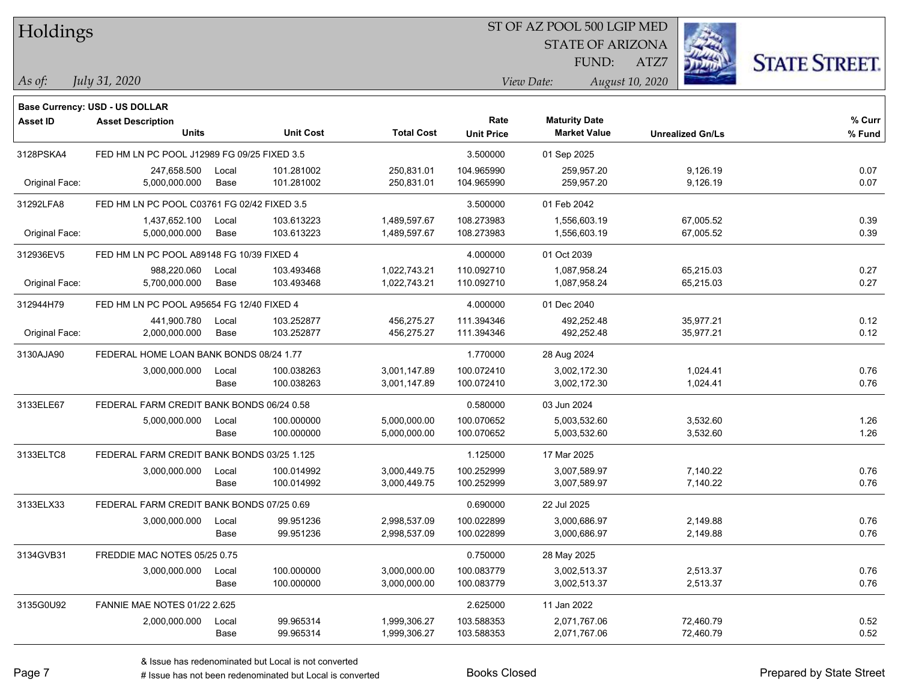| Holdings |
|----------|
|          |

#### ST OF AZ POOL 500 LGIP MED

STATE OF ARIZONA FUND:

ATZ7



*July 31, 2020*

**Base Currency: USD - US DOLLAR**

*As of: View Date: August 10, 2020*

| <b>Asset ID</b> | <b>Asset Description</b><br><b>Units</b>    |       | <b>Unit Cost</b> | <b>Total Cost</b> | Rate<br><b>Unit Price</b> | <b>Maturity Date</b><br><b>Market Value</b> | <b>Unrealized Gn/Ls</b> | % Curr<br>% Fund |
|-----------------|---------------------------------------------|-------|------------------|-------------------|---------------------------|---------------------------------------------|-------------------------|------------------|
| 3128PSKA4       | FED HM LN PC POOL J12989 FG 09/25 FIXED 3.5 |       |                  |                   | 3.500000                  | 01 Sep 2025                                 |                         |                  |
|                 | 247,658.500                                 | Local | 101.281002       | 250,831.01        | 104.965990                | 259,957.20                                  | 9,126.19                | 0.07             |
| Original Face:  | 5,000,000.000                               | Base  | 101.281002       | 250,831.01        | 104.965990                | 259,957.20                                  | 9,126.19                | 0.07             |
| 31292LFA8       | FED HM LN PC POOL C03761 FG 02/42 FIXED 3.5 |       |                  |                   | 3.500000                  | 01 Feb 2042                                 |                         |                  |
|                 | 1,437,652.100                               | Local | 103.613223       | 1,489,597.67      | 108.273983                | 1.556.603.19                                | 67,005.52               | 0.39             |
| Original Face:  | 5,000,000.000                               | Base  | 103.613223       | 1,489,597.67      | 108.273983                | 1,556,603.19                                | 67,005.52               | 0.39             |
| 312936EV5       | FED HM LN PC POOL A89148 FG 10/39 FIXED 4   |       |                  |                   | 4.000000                  | 01 Oct 2039                                 |                         |                  |
|                 | 988,220.060                                 | Local | 103.493468       | 1,022,743.21      | 110.092710                | 1,087,958.24                                | 65,215.03               | 0.27             |
| Original Face:  | 5,700,000.000                               | Base  | 103.493468       | 1,022,743.21      | 110.092710                | 1,087,958.24                                | 65,215.03               | 0.27             |
| 312944H79       | FED HM LN PC POOL A95654 FG 12/40 FIXED 4   |       |                  |                   | 4.000000                  | 01 Dec 2040                                 |                         |                  |
|                 | 441,900.780                                 | Local | 103.252877       | 456,275.27        | 111.394346                | 492,252.48                                  | 35,977.21               | 0.12             |
| Original Face:  | 2,000,000.000                               | Base  | 103.252877       | 456,275.27        | 111.394346                | 492,252.48                                  | 35,977.21               | 0.12             |
| 3130AJA90       | FEDERAL HOME LOAN BANK BONDS 08/24 1.77     |       |                  |                   | 1.770000                  | 28 Aug 2024                                 |                         |                  |
|                 | 3,000,000.000                               | Local | 100.038263       | 3,001,147.89      | 100.072410                | 3.002.172.30                                | 1,024.41                | 0.76             |
|                 |                                             | Base  | 100.038263       | 3,001,147.89      | 100.072410                | 3,002,172.30                                | 1,024.41                | 0.76             |
| 3133ELE67       | FEDERAL FARM CREDIT BANK BONDS 06/24 0.58   |       |                  |                   | 0.580000                  | 03 Jun 2024                                 |                         |                  |
|                 | 5,000,000.000                               | Local | 100.000000       | 5,000,000.00      | 100.070652                | 5,003,532.60                                | 3,532.60                | 1.26             |
|                 |                                             | Base  | 100.000000       | 5,000,000.00      | 100.070652                | 5,003,532.60                                | 3,532.60                | 1.26             |
| 3133ELTC8       | FEDERAL FARM CREDIT BANK BONDS 03/25 1.125  |       |                  |                   | 1.125000                  | 17 Mar 2025                                 |                         |                  |
|                 | 3,000,000.000                               | Local | 100.014992       | 3,000,449.75      | 100.252999                | 3,007,589.97                                | 7,140.22                | 0.76             |
|                 |                                             | Base  | 100.014992       | 3,000,449.75      | 100.252999                | 3,007,589.97                                | 7,140.22                | 0.76             |
| 3133ELX33       | FEDERAL FARM CREDIT BANK BONDS 07/25 0.69   |       |                  |                   | 0.690000                  | 22 Jul 2025                                 |                         |                  |
|                 | 3,000,000.000                               | Local | 99.951236        | 2,998,537.09      | 100.022899                | 3,000,686.97                                | 2,149.88                | 0.76             |
|                 |                                             | Base  | 99.951236        | 2,998,537.09      | 100.022899                | 3,000,686.97                                | 2,149.88                | 0.76             |
| 3134GVB31       | FREDDIE MAC NOTES 05/25 0.75                |       |                  |                   | 0.750000                  | 28 May 2025                                 |                         |                  |
|                 | 3,000,000.000                               | Local | 100.000000       | 3,000,000.00      | 100.083779                | 3,002,513.37                                | 2,513.37                | 0.76             |
|                 |                                             | Base  | 100.000000       | 3,000,000.00      | 100.083779                | 3,002,513.37                                | 2,513.37                | 0.76             |
| 3135G0U92       | <b>FANNIE MAE NOTES 01/22 2.625</b>         |       |                  |                   | 2.625000                  | 11 Jan 2022                                 |                         |                  |
|                 | 2,000,000.000                               | Local | 99.965314        | 1,999,306.27      | 103.588353                | 2,071,767.06                                | 72,460.79               | 0.52             |
|                 |                                             | Base  | 99.965314        | 1,999,306.27      | 103.588353                | 2,071,767.06                                | 72,460.79               | 0.52             |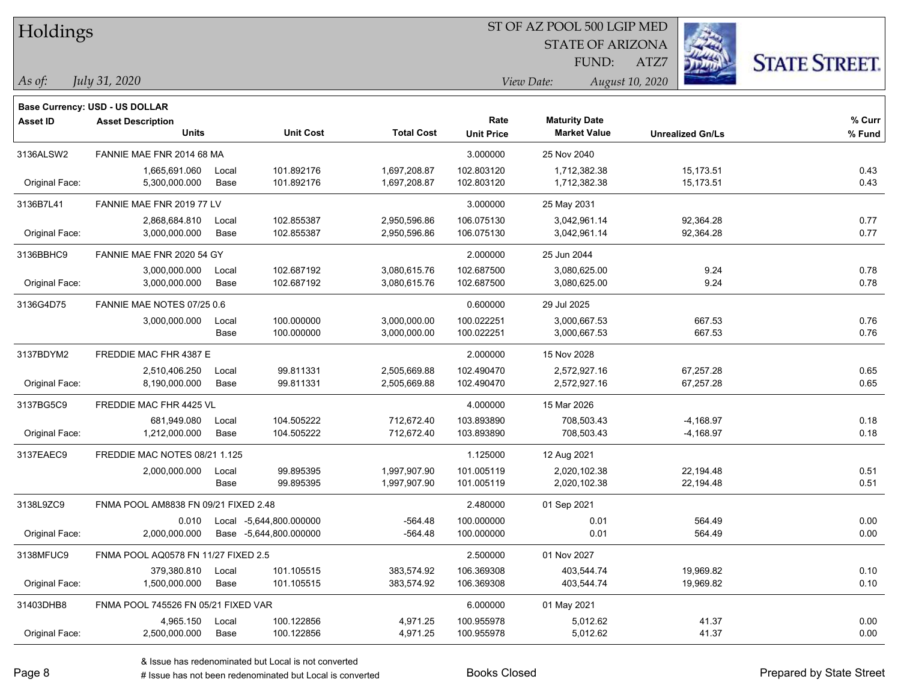| Holdings        |                                       |       |                               |                   |                   | ST OF AZ POOL 500 LGIP MED    |                         |                      |  |
|-----------------|---------------------------------------|-------|-------------------------------|-------------------|-------------------|-------------------------------|-------------------------|----------------------|--|
|                 |                                       |       |                               |                   |                   | <b>STATE OF ARIZONA</b>       |                         |                      |  |
|                 |                                       |       |                               |                   |                   | FUND:                         | ATZ7                    | <b>STATE STREET.</b> |  |
| As of:          | July 31, 2020                         |       |                               |                   |                   | August 10, 2020<br>View Date: |                         |                      |  |
|                 | <b>Base Currency: USD - US DOLLAR</b> |       |                               |                   |                   |                               |                         |                      |  |
| <b>Asset ID</b> | <b>Asset Description</b>              |       |                               |                   | Rate              | <b>Maturity Date</b>          |                         | % Curr               |  |
|                 | <b>Units</b>                          |       | <b>Unit Cost</b>              | <b>Total Cost</b> | <b>Unit Price</b> | <b>Market Value</b>           | <b>Unrealized Gn/Ls</b> | % Fund               |  |
| 3136ALSW2       | FANNIE MAE FNR 2014 68 MA             |       |                               |                   | 3.000000          | 25 Nov 2040                   |                         |                      |  |
|                 | 1,665,691.060                         | Local | 101.892176                    | 1,697,208.87      | 102.803120        | 1,712,382.38                  | 15,173.51               | 0.43                 |  |
| Original Face:  | 5,300,000.000                         | Base  | 101.892176                    | 1,697,208.87      | 102.803120        | 1,712,382.38                  | 15,173.51               | 0.43                 |  |
| 3136B7L41       | FANNIE MAE FNR 2019 77 LV             |       |                               |                   | 3.000000          | 25 May 2031                   |                         |                      |  |
|                 | 2,868,684.810                         | Local | 102.855387                    | 2,950,596.86      | 106.075130        | 3,042,961.14                  | 92,364.28               | 0.77                 |  |
| Original Face:  | 3,000,000.000                         | Base  | 102.855387                    | 2,950,596.86      | 106.075130        | 3,042,961.14                  | 92,364.28               | 0.77                 |  |
| 3136BBHC9       | FANNIE MAE FNR 2020 54 GY             |       |                               |                   | 2.000000          | 25 Jun 2044                   |                         |                      |  |
|                 | 3,000,000.000                         | Local | 102.687192                    | 3,080,615.76      | 102.687500        | 3,080,625.00                  | 9.24                    | 0.78                 |  |
| Original Face:  | 3,000,000.000                         | Base  | 102.687192                    | 3,080,615.76      | 102.687500        | 3,080,625.00                  | 9.24                    | 0.78                 |  |
| 3136G4D75       | FANNIE MAE NOTES 07/25 0.6            |       |                               |                   | 0.600000          | 29 Jul 2025                   |                         |                      |  |
|                 | 3,000,000.000                         | Local | 100.000000                    | 3,000,000.00      | 100.022251        | 3,000,667.53                  | 667.53                  | 0.76                 |  |
|                 |                                       | Base  | 100.000000                    | 3,000,000.00      | 100.022251        | 3,000,667.53                  | 667.53                  | 0.76                 |  |
| 3137BDYM2       | FREDDIE MAC FHR 4387 E                |       |                               |                   | 2.000000          | 15 Nov 2028                   |                         |                      |  |
|                 | 2,510,406.250                         | Local | 99.811331                     | 2,505,669.88      | 102.490470        | 2,572,927.16                  | 67,257.28               | 0.65                 |  |
| Original Face:  | 8,190,000.000                         | Base  | 99.811331                     | 2,505,669.88      | 102.490470        | 2,572,927.16                  | 67,257.28               | 0.65                 |  |
| 3137BG5C9       | FREDDIE MAC FHR 4425 VL               |       |                               |                   | 4.000000          | 15 Mar 2026                   |                         |                      |  |
|                 | 681,949.080                           | Local | 104.505222                    | 712,672.40        | 103.893890        | 708,503.43                    | $-4,168.97$             | 0.18                 |  |
| Original Face:  | 1,212,000.000                         | Base  | 104.505222                    | 712,672.40        | 103.893890        | 708,503.43                    | $-4,168.97$             | 0.18                 |  |
| 3137EAEC9       | FREDDIE MAC NOTES 08/21 1.125         |       |                               |                   | 1.125000          | 12 Aug 2021                   |                         |                      |  |
|                 | 2,000,000.000                         | Local | 99.895395                     | 1,997,907.90      | 101.005119        | 2,020,102.38                  | 22,194.48               | 0.51                 |  |
|                 |                                       | Base  | 99.895395                     | 1,997,907.90      | 101.005119        | 2,020,102.38                  | 22,194.48               | 0.51                 |  |
| 3138L9ZC9       | FNMA POOL AM8838 FN 09/21 FIXED 2.48  |       |                               |                   | 2.480000          | 01 Sep 2021                   |                         |                      |  |
|                 |                                       |       | 0.010 Local -5,644,800.000000 | $-564.48$         | 100.000000        | 0.01                          | 564.49                  | 0.00                 |  |
| Original Face:  | 2,000,000.000                         |       | Base -5,644,800.000000        | $-564.48$         | 100.000000        | 0.01                          | 564.49                  | 0.00                 |  |
| 3138MFUC9       | FNMA POOL AQ0578 FN 11/27 FIXED 2.5   |       |                               |                   | 2.500000          | 01 Nov 2027                   |                         |                      |  |
|                 | 379,380.810                           | Local | 101.105515                    | 383,574.92        | 106.369308        | 403,544.74                    | 19,969.82               | 0.10                 |  |
| Original Face:  | 1,500,000.000                         | Base  | 101.105515                    | 383,574.92        | 106.369308        | 403,544.74                    | 19,969.82               | 0.10                 |  |
| 31403DHB8       | FNMA POOL 745526 FN 05/21 FIXED VAR   |       |                               |                   | 6.000000          | 01 May 2021                   |                         |                      |  |
|                 | 4,965.150                             | Local | 100.122856                    | 4,971.25          | 100.955978        | 5,012.62                      | 41.37                   | 0.00                 |  |
| Original Face:  | 2,500,000.000                         | Base  | 100.122856                    | 4,971.25          | 100.955978        | 5,012.62                      | 41.37                   | 0.00                 |  |

ST OF AZ POOL 500 LGIP MED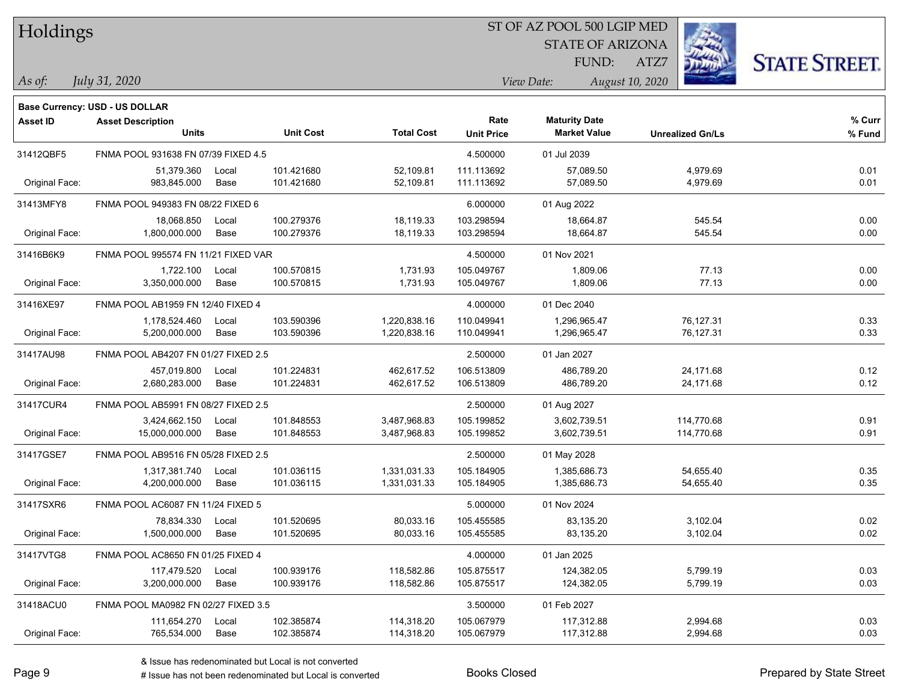| Holdings |  |  |
|----------|--|--|
|          |  |  |

**Base Currency: USD - US DOLLAR**

#### ST OF AZ POOL 500 LGIP MED

STATE OF ARIZONA FUND:

ATZ7



*July 31, 2020*

*As of: View Date: August 10, 2020*

| <b>Asset ID</b> | <b>Asset Description</b><br><b>Units</b> |               | <b>Unit Cost</b>         | <b>Total Cost</b>            | Rate<br><b>Unit Price</b> | <b>Maturity Date</b><br><b>Market Value</b> | <b>Unrealized Gn/Ls</b>  | % Curr<br>% Fund |
|-----------------|------------------------------------------|---------------|--------------------------|------------------------------|---------------------------|---------------------------------------------|--------------------------|------------------|
| 31412QBF5       | FNMA POOL 931638 FN 07/39 FIXED 4.5      |               |                          |                              | 4.500000                  | 01 Jul 2039                                 |                          |                  |
| Original Face:  | 51,379.360<br>983,845.000                | Local<br>Base | 101.421680<br>101.421680 | 52,109.81<br>52,109.81       | 111.113692<br>111.113692  | 57,089.50<br>57,089.50                      | 4,979.69<br>4,979.69     | 0.01<br>0.01     |
| 31413MFY8       | FNMA POOL 949383 FN 08/22 FIXED 6        |               |                          |                              | 6.000000                  | 01 Aug 2022                                 |                          |                  |
| Original Face:  | 18,068.850<br>1,800,000.000              | Local<br>Base | 100.279376<br>100.279376 | 18,119.33<br>18,119.33       | 103.298594<br>103.298594  | 18,664.87<br>18,664.87                      | 545.54<br>545.54         | 0.00<br>0.00     |
| 31416B6K9       | FNMA POOL 995574 FN 11/21 FIXED VAR      |               |                          |                              | 4.500000                  | 01 Nov 2021                                 |                          |                  |
| Original Face:  | 1,722.100<br>3,350,000.000               | Local<br>Base | 100.570815<br>100.570815 | 1,731.93<br>1,731.93         | 105.049767<br>105.049767  | 1,809.06<br>1,809.06                        | 77.13<br>77.13           | 0.00<br>0.00     |
| 31416XE97       | FNMA POOL AB1959 FN 12/40 FIXED 4        |               |                          |                              | 4.000000                  | 01 Dec 2040                                 |                          |                  |
| Original Face:  | 1,178,524.460<br>5,200,000.000           | Local<br>Base | 103.590396<br>103.590396 | 1,220,838.16<br>1,220,838.16 | 110.049941<br>110.049941  | 1,296,965.47<br>1,296,965.47                | 76,127.31<br>76,127.31   | 0.33<br>0.33     |
| 31417AU98       | FNMA POOL AB4207 FN 01/27 FIXED 2.5      |               |                          |                              | 2.500000                  | 01 Jan 2027                                 |                          |                  |
|                 | 457,019.800                              | Local         | 101.224831               | 462,617.52                   | 106.513809                | 486,789.20                                  | 24,171.68                | 0.12             |
| Original Face:  | 2,680,283.000                            | Base          | 101.224831               | 462,617.52                   | 106.513809                | 486,789.20                                  | 24,171.68                | 0.12             |
| 31417CUR4       | FNMA POOL AB5991 FN 08/27 FIXED 2.5      |               |                          |                              | 2.500000                  | 01 Aug 2027                                 |                          |                  |
| Original Face:  | 3,424,662.150<br>15,000,000.000          | Local<br>Base | 101.848553<br>101.848553 | 3,487,968.83<br>3,487,968.83 | 105.199852<br>105.199852  | 3,602,739.51<br>3,602,739.51                | 114,770.68<br>114,770.68 | 0.91<br>0.91     |
| 31417GSE7       | FNMA POOL AB9516 FN 05/28 FIXED 2.5      |               |                          |                              | 2.500000                  | 01 May 2028                                 |                          |                  |
| Original Face:  | 1,317,381.740<br>4,200,000.000           | Local<br>Base | 101.036115<br>101.036115 | 1,331,031.33<br>1,331,031.33 | 105.184905<br>105.184905  | 1,385,686.73<br>1,385,686.73                | 54,655.40<br>54,655.40   | 0.35<br>0.35     |
| 31417SXR6       | FNMA POOL AC6087 FN 11/24 FIXED 5        |               |                          |                              | 5.000000                  | 01 Nov 2024                                 |                          |                  |
| Original Face:  | 78,834.330<br>1,500,000.000              | Local<br>Base | 101.520695<br>101.520695 | 80,033.16<br>80,033.16       | 105.455585<br>105.455585  | 83,135.20<br>83,135.20                      | 3,102.04<br>3,102.04     | 0.02<br>0.02     |
| 31417VTG8       | FNMA POOL AC8650 FN 01/25 FIXED 4        |               |                          |                              | 4.000000                  | 01 Jan 2025                                 |                          |                  |
| Original Face:  | 117,479.520<br>3,200,000.000             | Local<br>Base | 100.939176<br>100.939176 | 118,582.86<br>118,582.86     | 105.875517<br>105.875517  | 124,382.05<br>124,382.05                    | 5,799.19<br>5,799.19     | 0.03<br>0.03     |
| 31418ACU0       | FNMA POOL MA0982 FN 02/27 FIXED 3.5      |               |                          |                              | 3.500000                  | 01 Feb 2027                                 |                          |                  |
| Original Face:  | 111,654.270<br>765,534.000               | Local<br>Base | 102.385874<br>102.385874 | 114,318.20<br>114,318.20     | 105.067979<br>105.067979  | 117,312.88<br>117,312.88                    | 2,994.68<br>2.994.68     | 0.03<br>0.03     |

A ISSUE ISSUE ISSUE ISSUE ISSUE ISSUE ISSUE ISSUE ISSUE ISSUE ISSUE ISSUE ISSUE ISSUE ISSUE ISSUE ISSUE ISSUE I<br>
# Issue has not been redenominated but Local is converted **BOOKS** Closed **Prepared by State Street**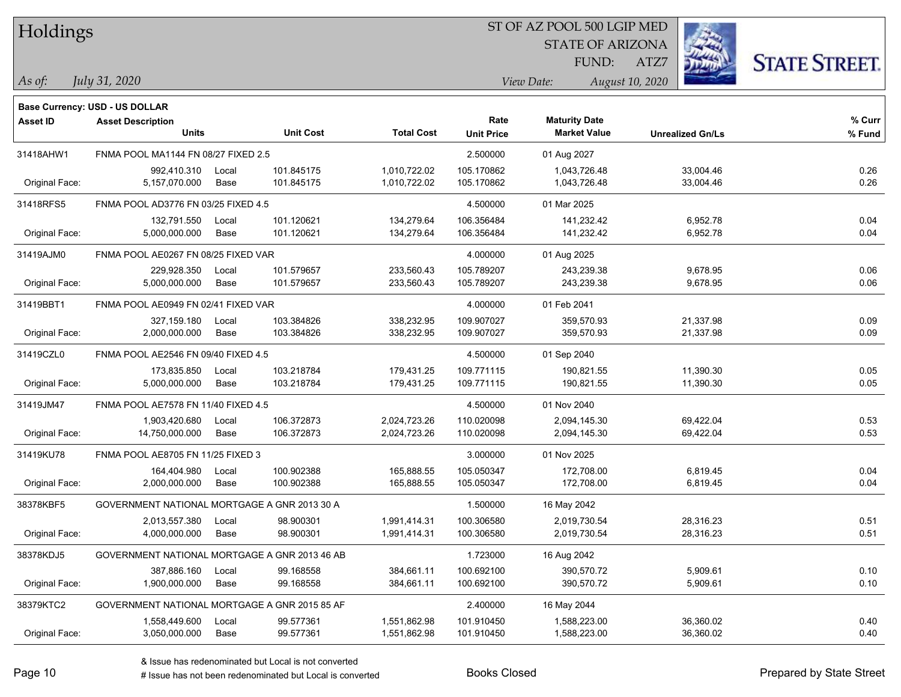| Holdings |
|----------|
|          |

#### ST OF AZ POOL 500 LGIP MED

STATE OF ARIZONA

ATZ7



*July 31, 2020*

**Base Currency: USD - US DOLLAR**

*As of: View Date: August 10, 2020* FUND:

| <b>Asset ID</b> | <b>Asset Description</b><br><b>Units</b> | <b>Unit Cost</b>                              | <b>Total Cost</b>            | Rate<br><b>Unit Price</b> | <b>Maturity Date</b><br><b>Market Value</b> | <b>Unrealized Gn/Ls</b> | % Curr<br>% Fund |
|-----------------|------------------------------------------|-----------------------------------------------|------------------------------|---------------------------|---------------------------------------------|-------------------------|------------------|
| 31418AHW1       | FNMA POOL MA1144 FN 08/27 FIXED 2.5      |                                               |                              | 2.500000                  | 01 Aug 2027                                 |                         |                  |
|                 |                                          |                                               |                              |                           |                                             |                         |                  |
| Original Face:  | 992,410.310<br>5,157,070.000             | 101.845175<br>Local<br>101.845175<br>Base     | 1,010,722.02<br>1,010,722.02 | 105.170862<br>105.170862  | 1,043,726.48<br>1,043,726.48                | 33,004.46<br>33,004.46  | 0.26<br>0.26     |
|                 |                                          |                                               |                              |                           |                                             |                         |                  |
| 31418RFS5       | FNMA POOL AD3776 FN 03/25 FIXED 4.5      |                                               |                              | 4.500000                  | 01 Mar 2025                                 |                         |                  |
|                 | 132,791.550                              | 101.120621<br>Local                           | 134,279.64                   | 106.356484                | 141,232.42                                  | 6,952.78                | 0.04             |
| Original Face:  | 5,000,000.000                            | Base<br>101.120621                            | 134,279.64                   | 106.356484                | 141,232.42                                  | 6,952.78                | 0.04             |
| 31419AJM0       | FNMA POOL AE0267 FN 08/25 FIXED VAR      |                                               |                              | 4.000000                  | 01 Aug 2025                                 |                         |                  |
|                 | 229,928.350                              | 101.579657<br>Local                           | 233,560.43                   | 105.789207                | 243,239.38                                  | 9,678.95                | 0.06             |
| Original Face:  | 5,000,000.000                            | 101.579657<br>Base                            | 233,560.43                   | 105.789207                | 243,239.38                                  | 9,678.95                | 0.06             |
| 31419BBT1       | FNMA POOL AE0949 FN 02/41 FIXED VAR      |                                               |                              | 4.000000                  | 01 Feb 2041                                 |                         |                  |
|                 | 327,159.180                              | 103.384826<br>Local                           | 338,232.95                   | 109.907027                | 359.570.93                                  | 21,337.98               | 0.09             |
| Original Face:  | 2,000,000.000                            | 103.384826<br>Base                            | 338,232.95                   | 109.907027                | 359,570.93                                  | 21,337.98               | 0.09             |
| 31419CZL0       | FNMA POOL AE2546 FN 09/40 FIXED 4.5      |                                               |                              | 4.500000                  | 01 Sep 2040                                 |                         |                  |
|                 | 173,835.850                              | 103.218784<br>Local                           | 179,431.25                   | 109.771115                | 190,821.55                                  | 11,390.30               | 0.05             |
| Original Face:  | 5,000,000.000                            | 103.218784<br>Base                            | 179,431.25                   | 109.771115                | 190,821.55                                  | 11,390.30               | 0.05             |
| 31419JM47       | FNMA POOL AE7578 FN 11/40 FIXED 4.5      |                                               |                              | 4.500000                  | 01 Nov 2040                                 |                         |                  |
|                 | 1,903,420.680                            | 106.372873<br>Local                           | 2,024,723.26                 | 110.020098                | 2,094,145.30                                | 69,422.04               | 0.53             |
| Original Face:  | 14,750,000.000                           | 106.372873<br>Base                            | 2,024,723.26                 | 110.020098                | 2,094,145.30                                | 69,422.04               | 0.53             |
| 31419KU78       | FNMA POOL AE8705 FN 11/25 FIXED 3        |                                               |                              | 3.000000                  | 01 Nov 2025                                 |                         |                  |
|                 | 164,404.980                              | 100.902388<br>Local                           | 165,888.55                   | 105.050347                | 172,708.00                                  | 6,819.45                | 0.04             |
| Original Face:  | 2,000,000.000                            | Base<br>100.902388                            | 165,888.55                   | 105.050347                | 172,708.00                                  | 6,819.45                | 0.04             |
| 38378KBF5       |                                          | GOVERNMENT NATIONAL MORTGAGE A GNR 2013 30 A  |                              | 1.500000                  | 16 May 2042                                 |                         |                  |
|                 | 2,013,557.380                            | 98.900301<br>Local                            | 1,991,414.31                 | 100.306580                | 2,019,730.54                                | 28,316.23               | 0.51             |
| Original Face:  | 4,000,000.000                            | 98.900301<br>Base                             | 1,991,414.31                 | 100.306580                | 2,019,730.54                                | 28,316.23               | 0.51             |
| 38378KDJ5       |                                          | GOVERNMENT NATIONAL MORTGAGE A GNR 2013 46 AB |                              | 1.723000                  | 16 Aug 2042                                 |                         |                  |
|                 | 387,886.160                              | 99.168558<br>Local                            | 384,661.11                   | 100.692100                | 390,570.72                                  | 5,909.61                | 0.10             |
| Original Face:  | 1,900,000.000                            | 99.168558<br>Base                             | 384,661.11                   | 100.692100                | 390,570.72                                  | 5,909.61                | 0.10             |
| 38379KTC2       |                                          | GOVERNMENT NATIONAL MORTGAGE A GNR 2015 85 AF |                              | 2.400000                  | 16 May 2044                                 |                         |                  |
|                 | 1,558,449.600                            | 99.577361<br>Local                            | 1,551,862.98                 | 101.910450                | 1,588,223.00                                | 36,360.02               | 0.40             |
| Original Face:  | 3,050,000.000                            | 99.577361<br>Base                             | 1,551,862.98                 | 101.910450                | 1,588,223.00                                | 36,360.02               | 0.40             |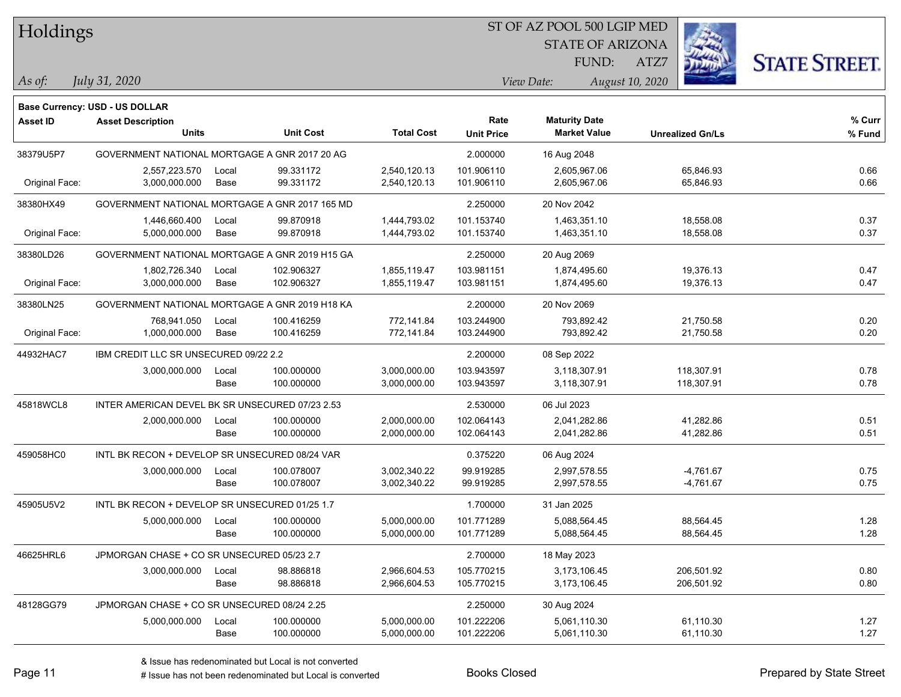| Holdings |  |
|----------|--|
|          |  |

#### ST OF AZ POOL 500 LGIP MED

STATE OF ARIZONA FUND:

ATZ7



*July 31, 2020*

**Base Currency: USD - US DOLLAR**

*As of: View Date: August 10, 2020*

| <b>Asset ID</b> | <b>Asset Description</b><br><b>Units</b>        |       | <b>Unit Cost</b> | <b>Total Cost</b> | Rate<br><b>Unit Price</b> | <b>Maturity Date</b><br><b>Market Value</b> | <b>Unrealized Gn/Ls</b> | % Curr<br>% Fund |
|-----------------|-------------------------------------------------|-------|------------------|-------------------|---------------------------|---------------------------------------------|-------------------------|------------------|
| 38379U5P7       | GOVERNMENT NATIONAL MORTGAGE A GNR 2017 20 AG   |       |                  |                   | 2.000000                  | 16 Aug 2048                                 |                         |                  |
|                 | 2,557,223.570                                   | Local | 99.331172        | 2,540,120.13      | 101.906110                | 2,605,967.06                                | 65,846.93               | 0.66             |
| Original Face:  | 3,000,000.000                                   | Base  | 99.331172        | 2,540,120.13      | 101.906110                | 2,605,967.06                                | 65,846.93               | 0.66             |
| 38380HX49       | GOVERNMENT NATIONAL MORTGAGE A GNR 2017 165 MD  |       |                  |                   | 2.250000                  | 20 Nov 2042                                 |                         |                  |
|                 | 1,446,660.400                                   | Local | 99.870918        | 1,444,793.02      | 101.153740                | 1,463,351.10                                | 18,558.08               | 0.37             |
| Original Face:  | 5,000,000.000                                   | Base  | 99.870918        | 1,444,793.02      | 101.153740                | 1,463,351.10                                | 18,558.08               | 0.37             |
| 38380LD26       | GOVERNMENT NATIONAL MORTGAGE A GNR 2019 H15 GA  |       |                  |                   | 2.250000                  | 20 Aug 2069                                 |                         |                  |
|                 | 1,802,726.340                                   | Local | 102.906327       | 1,855,119.47      | 103.981151                | 1,874,495.60                                | 19,376.13               | 0.47             |
| Original Face:  | 3,000,000.000                                   | Base  | 102.906327       | 1,855,119.47      | 103.981151                | 1,874,495.60                                | 19,376.13               | 0.47             |
| 38380LN25       | GOVERNMENT NATIONAL MORTGAGE A GNR 2019 H18 KA  |       |                  |                   | 2.200000                  | 20 Nov 2069                                 |                         |                  |
|                 | 768.941.050                                     | Local | 100.416259       | 772,141.84        | 103.244900                | 793.892.42                                  | 21,750.58               | 0.20             |
| Original Face:  | 1,000,000.000                                   | Base  | 100.416259       | 772,141.84        | 103.244900                | 793,892.42                                  | 21,750.58               | 0.20             |
| 44932HAC7       | IBM CREDIT LLC SR UNSECURED 09/22 2.2           |       |                  |                   | 2.200000                  | 08 Sep 2022                                 |                         |                  |
|                 | 3,000,000.000                                   | Local | 100.000000       | 3,000,000.00      | 103.943597                | 3,118,307.91                                | 118,307.91              | 0.78             |
|                 |                                                 | Base  | 100.000000       | 3,000,000.00      | 103.943597                | 3,118,307.91                                | 118,307.91              | 0.78             |
| 45818WCL8       | INTER AMERICAN DEVEL BK SR UNSECURED 07/23 2.53 |       |                  | 2.530000          | 06 Jul 2023               |                                             |                         |                  |
|                 | 2,000,000.000                                   | Local | 100.000000       | 2,000,000.00      | 102.064143                | 2,041,282.86                                | 41,282.86               | 0.51             |
|                 |                                                 | Base  | 100.000000       | 2,000,000.00      | 102.064143                | 2,041,282.86                                | 41,282.86               | 0.51             |
| 459058HC0       | INTL BK RECON + DEVELOP SR UNSECURED 08/24 VAR  |       |                  |                   | 0.375220                  | 06 Aug 2024                                 |                         |                  |
|                 | 3,000,000.000                                   | Local | 100.078007       | 3,002,340.22      | 99.919285                 | 2,997,578.55                                | $-4,761.67$             | 0.75             |
|                 |                                                 | Base  | 100.078007       | 3,002,340.22      | 99.919285                 | 2,997,578.55                                | $-4,761.67$             | 0.75             |
| 45905U5V2       | INTL BK RECON + DEVELOP SR UNSECURED 01/25 1.7  |       |                  |                   | 1.700000                  | 31 Jan 2025                                 |                         |                  |
|                 | 5,000,000.000                                   | Local | 100.000000       | 5,000,000.00      | 101.771289                | 5,088,564.45                                | 88,564.45               | 1.28             |
|                 |                                                 | Base  | 100.000000       | 5,000,000.00      | 101.771289                | 5,088,564.45                                | 88,564.45               | 1.28             |
| 46625HRL6       | JPMORGAN CHASE + CO SR UNSECURED 05/23 2.7      |       |                  |                   | 2.700000                  | 18 May 2023                                 |                         |                  |
|                 | 3,000,000.000                                   | Local | 98.886818        | 2,966,604.53      | 105.770215                | 3,173,106.45                                | 206,501.92              | 0.80             |
|                 |                                                 | Base  | 98.886818        | 2,966,604.53      | 105.770215                | 3,173,106.45                                | 206,501.92              | 0.80             |
| 48128GG79       | JPMORGAN CHASE + CO SR UNSECURED 08/24 2.25     |       |                  |                   | 2.250000                  | 30 Aug 2024                                 |                         |                  |
|                 | 5,000,000.000                                   | Local | 100.000000       | 5,000,000.00      | 101.222206                | 5,061,110.30                                | 61,110.30               | 1.27             |
|                 |                                                 | Base  | 100.000000       | 5,000,000.00      | 101.222206                | 5,061,110.30                                | 61,110.30               | 1.27             |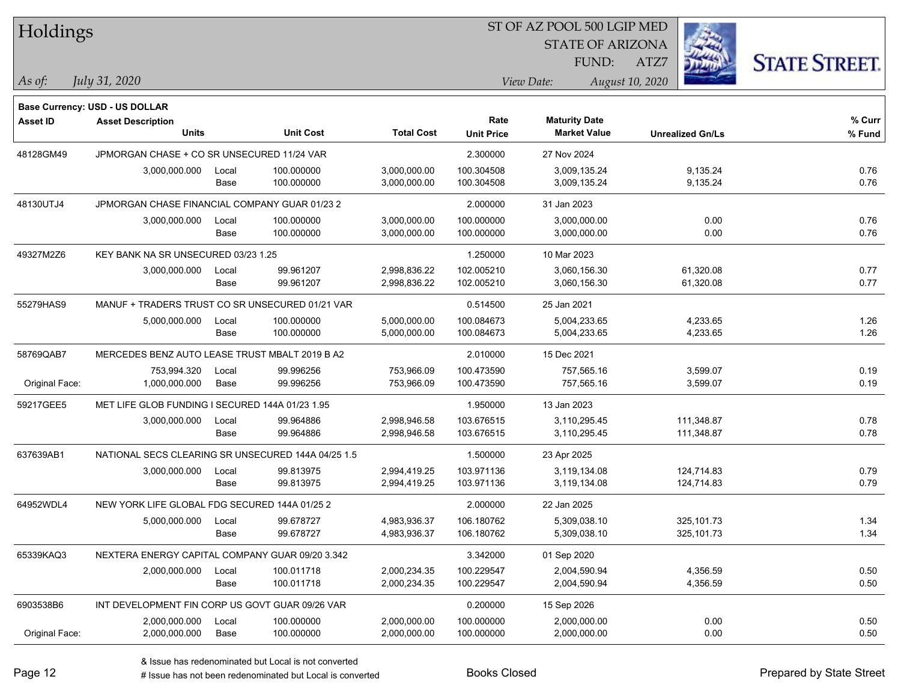| Holdings        |                                                            |       |                  |                   |                   | ST OF AZ POOL 500 LGIP MED |                 |                         |                      |
|-----------------|------------------------------------------------------------|-------|------------------|-------------------|-------------------|----------------------------|-----------------|-------------------------|----------------------|
|                 |                                                            |       |                  |                   |                   | <b>STATE OF ARIZONA</b>    |                 |                         |                      |
|                 |                                                            |       |                  |                   |                   | FUND:                      | ATZ7            |                         | <b>STATE STREET.</b> |
| As of:          | July 31, 2020                                              |       |                  |                   |                   | View Date:                 | August 10, 2020 |                         |                      |
|                 |                                                            |       |                  |                   |                   |                            |                 |                         |                      |
| <b>Asset ID</b> | Base Currency: USD - US DOLLAR<br><b>Asset Description</b> |       |                  |                   | Rate              | <b>Maturity Date</b>       |                 |                         | % Curr               |
|                 | <b>Units</b>                                               |       | <b>Unit Cost</b> | <b>Total Cost</b> | <b>Unit Price</b> | <b>Market Value</b>        |                 | <b>Unrealized Gn/Ls</b> | % Fund               |
| 48128GM49       | JPMORGAN CHASE + CO SR UNSECURED 11/24 VAR                 |       |                  |                   | 2.300000          | 27 Nov 2024                |                 |                         |                      |
|                 | 3,000,000.000                                              | Local | 100.000000       | 3,000,000.00      | 100.304508        | 3,009,135.24               |                 | 9,135.24                | 0.76                 |
|                 |                                                            | Base  | 100.000000       | 3,000,000.00      | 100.304508        | 3,009,135.24               |                 | 9,135.24                | 0.76                 |
| 48130UTJ4       | JPMORGAN CHASE FINANCIAL COMPANY GUAR 01/23 2              |       |                  |                   | 2.000000          | 31 Jan 2023                |                 |                         |                      |
|                 | 3,000,000.000                                              | Local | 100.000000       | 3,000,000.00      | 100.000000        | 3,000,000.00               |                 | 0.00                    | 0.76                 |
|                 |                                                            | Base  | 100.000000       | 3,000,000.00      | 100.000000        | 3,000,000.00               |                 | 0.00                    | 0.76                 |
| 49327M2Z6       | KEY BANK NA SR UNSECURED 03/23 1.25                        |       |                  |                   | 1.250000          | 10 Mar 2023                |                 |                         |                      |
|                 | 3,000,000.000                                              | Local | 99.961207        | 2,998,836.22      | 102.005210        | 3,060,156.30               |                 | 61,320.08               | 0.77                 |
|                 |                                                            | Base  | 99.961207        | 2,998,836.22      | 102.005210        | 3,060,156.30               |                 | 61,320.08               | 0.77                 |
| 55279HAS9       | MANUF + TRADERS TRUST CO SR UNSECURED 01/21 VAR            |       |                  |                   | 0.514500          | 25 Jan 2021                |                 |                         |                      |
|                 | 5,000,000.000                                              | Local | 100.000000       | 5,000,000.00      | 100.084673        | 5,004,233.65               |                 | 4,233.65                | 1.26                 |
|                 |                                                            | Base  | 100.000000       | 5,000,000.00      | 100.084673        | 5,004,233.65               |                 | 4,233.65                | 1.26                 |
| 58769QAB7       | MERCEDES BENZ AUTO LEASE TRUST MBALT 2019 B A2             |       |                  |                   | 2.010000          | 15 Dec 2021                |                 |                         |                      |
|                 | 753,994.320                                                | Local | 99.996256        | 753,966.09        | 100.473590        | 757,565.16                 |                 | 3,599.07                | 0.19                 |
| Original Face:  | 1,000,000.000                                              | Base  | 99.996256        | 753,966.09        | 100.473590        | 757,565.16                 |                 | 3,599.07                | 0.19                 |
| 59217GEE5       | MET LIFE GLOB FUNDING I SECURED 144A 01/23 1.95            |       |                  |                   | 1.950000          | 13 Jan 2023                |                 |                         |                      |
|                 | 3,000,000.000                                              | Local | 99.964886        | 2,998,946.58      | 103.676515        | 3,110,295.45               |                 | 111,348.87              | 0.78                 |
|                 |                                                            | Base  | 99.964886        | 2,998,946.58      | 103.676515        | 3,110,295.45               |                 | 111,348.87              | 0.78                 |
| 637639AB1       | NATIONAL SECS CLEARING SR UNSECURED 144A 04/25 1.5         |       |                  |                   | 1.500000          | 23 Apr 2025                |                 |                         |                      |
|                 | 3,000,000.000                                              | Local | 99.813975        | 2,994,419.25      | 103.971136        | 3,119,134.08               |                 | 124,714.83              | 0.79                 |
|                 |                                                            | Base  | 99.813975        | 2,994,419.25      | 103.971136        | 3,119,134.08               |                 | 124,714.83              | 0.79                 |
| 64952WDL4       | NEW YORK LIFE GLOBAL FDG SECURED 144A 01/25 2              |       |                  |                   | 2.000000          | 22 Jan 2025                |                 |                         |                      |
|                 | 5,000,000.000                                              | Local | 99.678727        | 4,983,936.37      | 106.180762        | 5,309,038.10               |                 | 325,101.73              | 1.34                 |
|                 |                                                            | Base  | 99.678727        | 4,983,936.37      | 106.180762        | 5,309,038.10               |                 | 325,101.73              | 1.34                 |
| 65339KAQ3       | NEXTERA ENERGY CAPITAL COMPANY GUAR 09/20 3.342            |       |                  |                   | 3.342000          | 01 Sep 2020                |                 |                         |                      |
|                 | 2,000,000.000                                              | Local | 100.011718       | 2,000,234.35      | 100.229547        | 2,004,590.94               |                 | 4,356.59                | 0.50                 |
|                 |                                                            | Base  | 100.011718       | 2,000,234.35      | 100.229547        | 2,004,590.94               |                 | 4,356.59                | 0.50                 |
| 6903538B6       | INT DEVELOPMENT FIN CORP US GOVT GUAR 09/26 VAR            |       |                  |                   | 0.200000          | 15 Sep 2026                |                 |                         |                      |
|                 | 2,000,000.000                                              | Local | 100.000000       | 2,000,000.00      | 100.000000        | 2,000,000.00               |                 | 0.00                    | 0.50                 |
| Original Face:  | 2,000,000.000                                              | Base  | 100.000000       | 2,000,000.00      | 100.000000        | 2,000,000.00               |                 | 0.00                    | 0.50                 |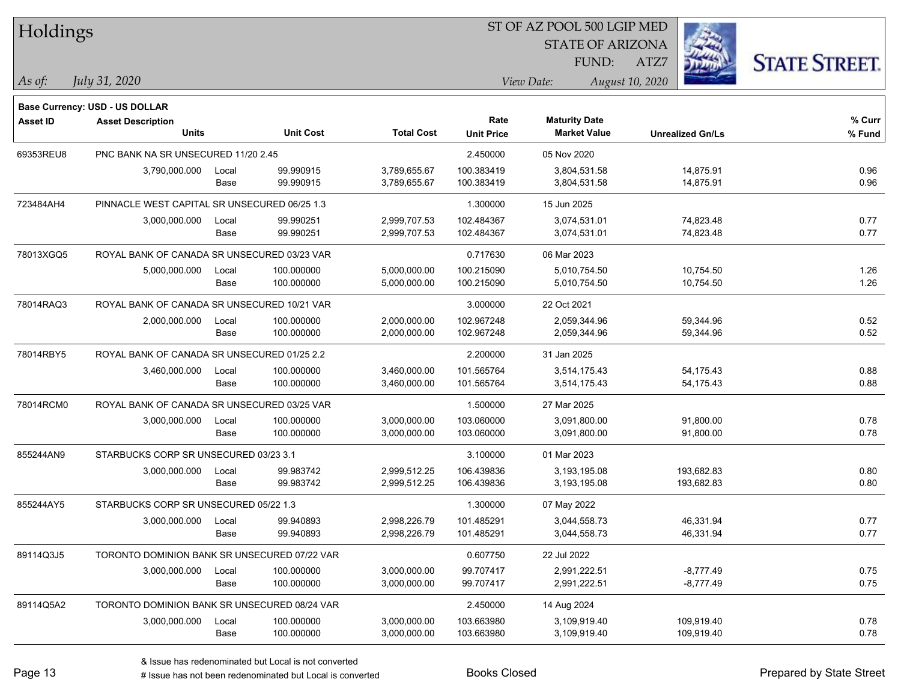| Holdings        |                                                            |       |                  |                   |                   | ST OF AZ POOL 500 LGIP MED |                         |                      |
|-----------------|------------------------------------------------------------|-------|------------------|-------------------|-------------------|----------------------------|-------------------------|----------------------|
|                 |                                                            |       |                  |                   |                   | <b>STATE OF ARIZONA</b>    |                         |                      |
|                 |                                                            |       |                  |                   |                   | FUND:                      | ATZ7                    | <b>STATE STREET.</b> |
| As of:          | July 31, 2020                                              |       |                  |                   |                   | View Date:                 | August 10, 2020         |                      |
|                 |                                                            |       |                  |                   |                   |                            |                         |                      |
| <b>Asset ID</b> | Base Currency: USD - US DOLLAR<br><b>Asset Description</b> |       |                  |                   | Rate              | <b>Maturity Date</b>       |                         | % Curr               |
|                 | <b>Units</b>                                               |       | <b>Unit Cost</b> | <b>Total Cost</b> | <b>Unit Price</b> | <b>Market Value</b>        | <b>Unrealized Gn/Ls</b> | % Fund               |
| 69353REU8       | PNC BANK NA SR UNSECURED 11/20 2.45                        |       |                  |                   | 2.450000          | 05 Nov 2020                |                         |                      |
|                 | 3,790,000.000                                              | Local | 99.990915        | 3,789,655.67      | 100.383419        | 3,804,531.58               | 14,875.91               | 0.96                 |
|                 |                                                            | Base  | 99.990915        | 3,789,655.67      | 100.383419        | 3,804,531.58               | 14,875.91               | 0.96                 |
| 723484AH4       | PINNACLE WEST CAPITAL SR UNSECURED 06/25 1.3               |       |                  |                   | 1.300000          | 15 Jun 2025                |                         |                      |
|                 | 3,000,000.000                                              | Local | 99.990251        | 2,999,707.53      | 102.484367        | 3,074,531.01               | 74,823.48               | 0.77                 |
|                 |                                                            | Base  | 99.990251        | 2,999,707.53      | 102.484367        | 3,074,531.01               | 74,823.48               | 0.77                 |
| 78013XGQ5       | ROYAL BANK OF CANADA SR UNSECURED 03/23 VAR                |       |                  |                   | 0.717630          | 06 Mar 2023                |                         |                      |
|                 | 5,000,000.000                                              | Local | 100.000000       | 5,000,000.00      | 100.215090        | 5,010,754.50               | 10,754.50               | 1.26                 |
|                 |                                                            | Base  | 100.000000       | 5,000,000.00      | 100.215090        | 5,010,754.50               | 10,754.50               | 1.26                 |
| 78014RAQ3       | ROYAL BANK OF CANADA SR UNSECURED 10/21 VAR                |       |                  |                   | 3.000000          | 22 Oct 2021                |                         |                      |
|                 | 2,000,000.000                                              | Local | 100.000000       | 2,000,000.00      | 102.967248        | 2,059,344.96               | 59,344.96               | 0.52                 |
|                 |                                                            | Base  | 100.000000       | 2,000,000.00      | 102.967248        | 2,059,344.96               | 59,344.96               | 0.52                 |
| 78014RBY5       | ROYAL BANK OF CANADA SR UNSECURED 01/25 2.2                |       |                  |                   | 2.200000          | 31 Jan 2025                |                         |                      |
|                 | 3,460,000.000                                              | Local | 100.000000       | 3,460,000.00      | 101.565764        | 3,514,175.43               | 54, 175.43              | 0.88                 |
|                 |                                                            | Base  | 100.000000       | 3,460,000.00      | 101.565764        | 3,514,175.43               | 54, 175. 43             | 0.88                 |
| 78014RCM0       | ROYAL BANK OF CANADA SR UNSECURED 03/25 VAR                |       |                  |                   | 1.500000          | 27 Mar 2025                |                         |                      |
|                 | 3,000,000.000                                              | Local | 100.000000       | 3,000,000.00      | 103.060000        | 3,091,800.00               | 91,800.00               | 0.78                 |
|                 |                                                            | Base  | 100.000000       | 3,000,000.00      | 103.060000        | 3,091,800.00               | 91,800.00               | 0.78                 |
| 855244AN9       | STARBUCKS CORP SR UNSECURED 03/23 3.1                      |       |                  |                   | 3.100000          | 01 Mar 2023                |                         |                      |
|                 | 3,000,000.000                                              | Local | 99.983742        | 2,999,512.25      | 106.439836        | 3,193,195.08               | 193,682.83              | 0.80                 |
|                 |                                                            | Base  | 99.983742        | 2,999,512.25      | 106.439836        | 3,193,195.08               | 193,682.83              | 0.80                 |
| 855244AY5       | STARBUCKS CORP SR UNSECURED 05/22 1.3                      |       |                  |                   | 1.300000          | 07 May 2022                |                         |                      |
|                 | 3,000,000.000                                              | Local | 99.940893        | 2,998,226.79      | 101.485291        | 3,044,558.73               | 46,331.94               | 0.77                 |
|                 |                                                            | Base  | 99.940893        | 2,998,226.79      | 101.485291        | 3,044,558.73               | 46,331.94               | 0.77                 |
| 89114Q3J5       | TORONTO DOMINION BANK SR UNSECURED 07/22 VAR               |       |                  |                   | 0.607750          | 22 Jul 2022                |                         |                      |
|                 | 3,000,000.000                                              | Local | 100.000000       | 3,000,000.00      | 99.707417         | 2,991,222.51               | $-8,777.49$             | 0.75                 |
|                 |                                                            | Base  | 100.000000       | 3,000,000.00      | 99.707417         | 2,991,222.51               | $-8,777.49$             | 0.75                 |
| 89114Q5A2       | TORONTO DOMINION BANK SR UNSECURED 08/24 VAR               |       |                  |                   | 2.450000          | 14 Aug 2024                |                         |                      |
|                 | 3,000,000.000                                              | Local | 100.000000       | 3,000,000.00      | 103.663980        | 3,109,919.40               | 109,919.40              | 0.78                 |
|                 |                                                            | Base  | 100.000000       | 3,000,000.00      | 103.663980        | 3,109,919.40               | 109,919.40              | 0.78                 |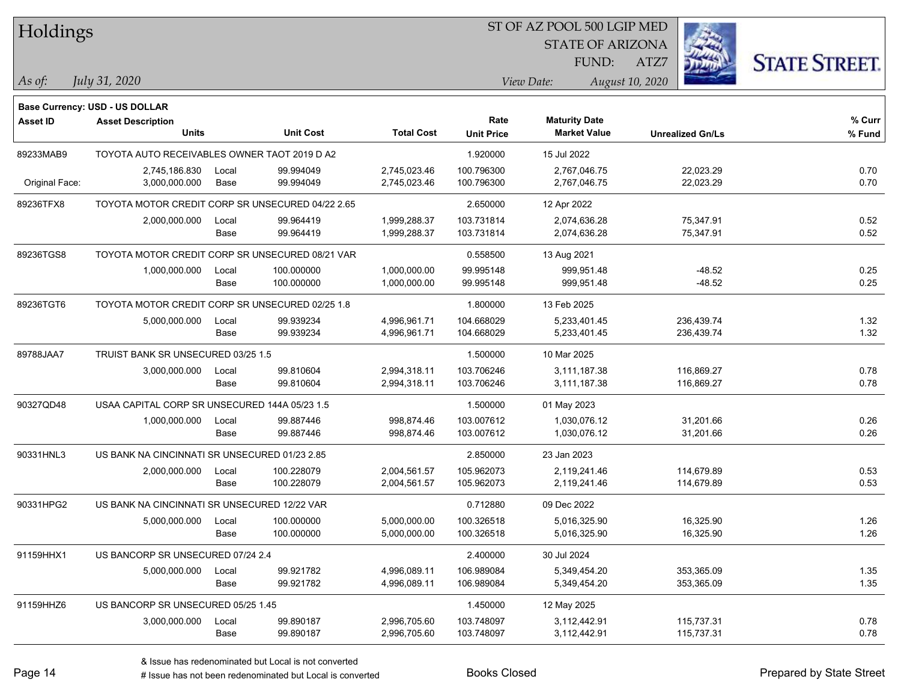| Holdings       |                                                  |               |                        |                              | ST OF AZ POOL 500 LGIP MED |                                             |                         |                      |  |  |
|----------------|--------------------------------------------------|---------------|------------------------|------------------------------|----------------------------|---------------------------------------------|-------------------------|----------------------|--|--|
|                |                                                  |               |                        |                              |                            | <b>STATE OF ARIZONA</b>                     |                         |                      |  |  |
|                |                                                  |               |                        |                              |                            | FUND:                                       | ATZ7                    | <b>STATE STREET.</b> |  |  |
| $\vert$ As of: | July 31, 2020                                    |               |                        |                              |                            | View Date:                                  | August 10, 2020         |                      |  |  |
|                |                                                  |               |                        |                              |                            |                                             |                         |                      |  |  |
|                | Base Currency: USD - US DOLLAR                   |               |                        |                              |                            |                                             |                         |                      |  |  |
| Asset ID       | <b>Asset Description</b><br><b>Units</b>         |               | <b>Unit Cost</b>       | <b>Total Cost</b>            | Rate<br><b>Unit Price</b>  | <b>Maturity Date</b><br><b>Market Value</b> | <b>Unrealized Gn/Ls</b> | % Curr<br>% Fund     |  |  |
|                |                                                  |               |                        |                              |                            |                                             |                         |                      |  |  |
| 89233MAB9      | TOYOTA AUTO RECEIVABLES OWNER TAOT 2019 D A2     |               |                        |                              | 1.920000                   | 15 Jul 2022                                 |                         |                      |  |  |
| Original Face: | 2,745,186.830<br>3,000,000.000                   | Local<br>Base | 99.994049<br>99.994049 | 2,745,023.46<br>2,745,023.46 | 100.796300<br>100.796300   | 2,767,046.75<br>2,767,046.75                | 22,023.29<br>22,023.29  | 0.70<br>0.70         |  |  |
|                |                                                  |               |                        |                              |                            |                                             |                         |                      |  |  |
| 89236TFX8      | TOYOTA MOTOR CREDIT CORP SR UNSECURED 04/22 2.65 |               |                        |                              | 2.650000                   | 12 Apr 2022                                 |                         |                      |  |  |
|                | 2,000,000.000                                    | Local         | 99.964419              | 1,999,288.37                 | 103.731814                 | 2,074,636.28                                | 75,347.91               | 0.52                 |  |  |
|                |                                                  | Base          | 99.964419              | 1,999,288.37                 | 103.731814                 | 2,074,636.28                                | 75,347.91               | 0.52                 |  |  |
| 89236TGS8      | TOYOTA MOTOR CREDIT CORP SR UNSECURED 08/21 VAR  |               |                        |                              | 0.558500                   | 13 Aug 2021                                 |                         |                      |  |  |
|                | 1,000,000.000                                    | Local         | 100.000000             | 1,000,000.00                 | 99.995148                  | 999,951.48                                  | $-48.52$                | 0.25                 |  |  |
|                |                                                  | Base          | 100.000000             | 1,000,000.00                 | 99.995148                  | 999,951.48                                  | $-48.52$                | 0.25                 |  |  |
| 89236TGT6      | TOYOTA MOTOR CREDIT CORP SR UNSECURED 02/25 1.8  |               |                        |                              | 1.800000                   | 13 Feb 2025                                 |                         |                      |  |  |
|                | 5,000,000.000                                    | Local         | 99.939234              | 4,996,961.71                 | 104.668029                 | 5,233,401.45                                | 236,439.74              | 1.32                 |  |  |
|                |                                                  | Base          | 99.939234              | 4,996,961.71                 | 104.668029                 | 5,233,401.45                                | 236,439.74              | 1.32                 |  |  |
| 89788JAA7      | TRUIST BANK SR UNSECURED 03/25 1.5               |               |                        |                              | 1.500000                   | 10 Mar 2025                                 |                         |                      |  |  |
|                | 3,000,000.000                                    | Local         | 99.810604              | 2,994,318.11                 | 103.706246                 | 3,111,187.38                                | 116,869.27              | 0.78                 |  |  |
|                |                                                  | Base          | 99.810604              | 2,994,318.11                 | 103.706246                 | 3,111,187.38                                | 116,869.27              | 0.78                 |  |  |
| 90327QD48      | USAA CAPITAL CORP SR UNSECURED 144A 05/23 1.5    |               |                        |                              | 1.500000                   | 01 May 2023                                 |                         |                      |  |  |
|                | 1,000,000.000                                    | Local         | 99.887446              | 998,874.46                   | 103.007612                 | 1,030,076.12                                | 31,201.66               | 0.26                 |  |  |
|                |                                                  | Base          | 99.887446              | 998,874.46                   | 103.007612                 | 1,030,076.12                                | 31,201.66               | 0.26                 |  |  |
| 90331HNL3      | US BANK NA CINCINNATI SR UNSECURED 01/23 2.85    |               |                        |                              | 2.850000                   | 23 Jan 2023                                 |                         |                      |  |  |
|                | 2,000,000.000                                    | Local         | 100.228079             | 2,004,561.57                 | 105.962073                 | 2,119,241.46                                | 114,679.89              | 0.53                 |  |  |
|                |                                                  | Base          | 100.228079             | 2,004,561.57                 | 105.962073                 | 2,119,241.46                                | 114,679.89              | 0.53                 |  |  |
| 90331HPG2      | US BANK NA CINCINNATI SR UNSECURED 12/22 VAR     |               |                        |                              | 0.712880                   | 09 Dec 2022                                 |                         |                      |  |  |
|                | 5,000,000.000                                    | Local         | 100.000000             | 5,000,000.00                 | 100.326518                 | 5,016,325.90                                | 16,325.90               | 1.26                 |  |  |
|                |                                                  | Base          | 100.000000             | 5,000,000.00                 | 100.326518                 | 5,016,325.90                                | 16,325.90               | 1.26                 |  |  |
| 91159HHX1      | US BANCORP SR UNSECURED 07/24 2.4                |               |                        |                              | 2.400000                   | 30 Jul 2024                                 |                         |                      |  |  |
|                | 5,000,000.000                                    | Local         | 99.921782              | 4,996,089.11                 | 106.989084                 | 5,349,454.20                                | 353,365.09              | 1.35                 |  |  |
|                |                                                  | Base          | 99.921782              | 4,996,089.11                 | 106.989084                 | 5,349,454.20                                | 353,365.09              | 1.35                 |  |  |
| 91159HHZ6      | US BANCORP SR UNSECURED 05/25 1.45               |               |                        |                              | 1.450000                   | 12 May 2025                                 |                         |                      |  |  |
|                | 3,000,000.000                                    | Local         | 99.890187              | 2,996,705.60                 | 103.748097                 | 3,112,442.91                                | 115,737.31              | 0.78                 |  |  |
|                |                                                  | Base          | 99.890187              | 2,996,705.60                 | 103.748097                 | 3,112,442.91                                | 115,737.31              | 0.78                 |  |  |

denote the redenominated but Local is converted Books Closed Prepared by State Street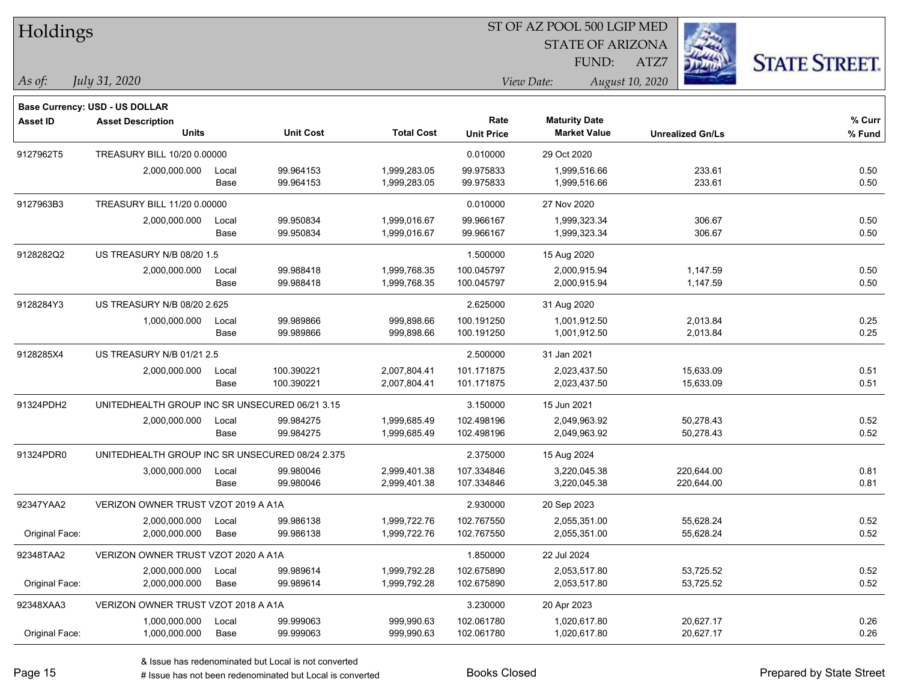| Holdings        |                                                 |       |                  |                   |                           | ST OF AZ POOL 500 LGIP MED                  |                         |                      |
|-----------------|-------------------------------------------------|-------|------------------|-------------------|---------------------------|---------------------------------------------|-------------------------|----------------------|
|                 |                                                 |       |                  |                   |                           | <b>STATE OF ARIZONA</b>                     |                         |                      |
|                 |                                                 |       |                  |                   |                           | FUND:                                       | ATZ7                    | <b>STATE STREET.</b> |
| As of:          | July 31, 2020                                   |       |                  |                   |                           | View Date:                                  | August 10, 2020         |                      |
|                 |                                                 |       |                  |                   |                           |                                             |                         |                      |
|                 | Base Currency: USD - US DOLLAR                  |       |                  |                   |                           |                                             |                         |                      |
| <b>Asset ID</b> | <b>Asset Description</b><br><b>Units</b>        |       | <b>Unit Cost</b> | <b>Total Cost</b> | Rate<br><b>Unit Price</b> | <b>Maturity Date</b><br><b>Market Value</b> | <b>Unrealized Gn/Ls</b> | % Curr<br>$%$ Fund   |
| 9127962T5       | TREASURY BILL 10/20 0.00000                     |       |                  |                   | 0.010000                  | 29 Oct 2020                                 |                         |                      |
|                 | 2,000,000.000                                   | Local | 99.964153        | 1,999,283.05      | 99.975833                 | 1,999,516.66                                | 233.61                  | 0.50                 |
|                 |                                                 | Base  | 99.964153        | 1,999,283.05      | 99.975833                 | 1,999,516.66                                | 233.61                  | 0.50                 |
| 9127963B3       | TREASURY BILL 11/20 0.00000                     |       |                  |                   | 0.010000                  | 27 Nov 2020                                 |                         |                      |
|                 | 2,000,000.000                                   | Local | 99.950834        | 1,999,016.67      | 99.966167                 | 1,999,323.34                                | 306.67                  | 0.50                 |
|                 |                                                 | Base  | 99.950834        | 1,999,016.67      | 99.966167                 | 1,999,323.34                                | 306.67                  | 0.50                 |
| 9128282Q2       | US TREASURY N/B 08/20 1.5                       |       |                  |                   | 1.500000                  | 15 Aug 2020                                 |                         |                      |
|                 | 2,000,000.000                                   | Local | 99.988418        | 1,999,768.35      | 100.045797                | 2,000,915.94                                | 1,147.59                | 0.50                 |
|                 |                                                 | Base  | 99.988418        | 1,999,768.35      | 100.045797                | 2,000,915.94                                | 1,147.59                | 0.50                 |
| 9128284Y3       | US TREASURY N/B 08/20 2.625                     |       |                  |                   | 2.625000                  | 31 Aug 2020                                 |                         |                      |
|                 | 1,000,000.000                                   | Local | 99.989866        | 999,898.66        | 100.191250                | 1,001,912.50                                | 2,013.84                | 0.25                 |
|                 |                                                 | Base  | 99.989866        | 999,898.66        | 100.191250                | 1,001,912.50                                | 2,013.84                | 0.25                 |
| 9128285X4       | US TREASURY N/B 01/21 2.5                       |       |                  |                   | 2.500000                  | 31 Jan 2021                                 |                         |                      |
|                 | 2,000,000.000                                   | Local | 100.390221       | 2,007,804.41      | 101.171875                | 2,023,437.50                                | 15,633.09               | 0.51                 |
|                 |                                                 | Base  | 100.390221       | 2,007,804.41      | 101.171875                | 2,023,437.50                                | 15,633.09               | 0.51                 |
| 91324PDH2       | UNITEDHEALTH GROUP INC SR UNSECURED 06/21 3.15  |       |                  |                   | 3.150000                  | 15 Jun 2021                                 |                         |                      |
|                 | 2,000,000.000                                   | Local | 99.984275        | 1,999,685.49      | 102.498196                | 2,049,963.92                                | 50,278.43               | 0.52                 |
|                 |                                                 | Base  | 99.984275        | 1,999,685.49      | 102.498196                | 2,049,963.92                                | 50,278.43               | 0.52                 |
| 91324PDR0       | UNITEDHEALTH GROUP INC SR UNSECURED 08/24 2.375 |       |                  |                   | 2.375000                  | 15 Aug 2024                                 |                         |                      |
|                 | 3,000,000.000                                   | Local | 99.980046        | 2,999,401.38      | 107.334846                | 3,220,045.38                                | 220,644.00              | 0.81                 |
|                 |                                                 | Base  | 99.980046        | 2,999,401.38      | 107.334846                | 3,220,045.38                                | 220,644.00              | 0.81                 |
| 92347YAA2       | VERIZON OWNER TRUST VZOT 2019 A A1A             |       |                  |                   | 2.930000                  | 20 Sep 2023                                 |                         |                      |
|                 | 2,000,000.000                                   | Local | 99.986138        | 1,999,722.76      | 102.767550                | 2,055,351.00                                | 55,628.24               | 0.52                 |
| Original Face:  | 2,000,000.000                                   | Base  | 99.986138        | 1,999,722.76      | 102.767550                | 2,055,351.00                                | 55,628.24               | 0.52                 |
| 92348TAA2       | VERIZON OWNER TRUST VZOT 2020 A A1A             |       |                  |                   | 1.850000                  | 22 Jul 2024                                 |                         |                      |
|                 | 2,000,000.000                                   | Local | 99.989614        | 1,999,792.28      | 102.675890                | 2,053,517.80                                | 53,725.52               | 0.52                 |
| Original Face:  | 2,000,000.000                                   | Base  | 99.989614        | 1,999,792.28      | 102.675890                | 2,053,517.80                                | 53,725.52               | 0.52                 |
| 92348XAA3       | VERIZON OWNER TRUST VZOT 2018 A A1A             |       |                  |                   | 3.230000                  | 20 Apr 2023                                 |                         |                      |
|                 | 1,000,000.000                                   | Local | 99.999063        | 999,990.63        | 102.061780                | 1,020,617.80                                | 20,627.17               | 0.26                 |
| Original Face:  | 1,000,000.000                                   | Base  | 99.999063        | 999,990.63        | 102.061780                | 1,020,617.80                                | 20,627.17               | 0.26                 |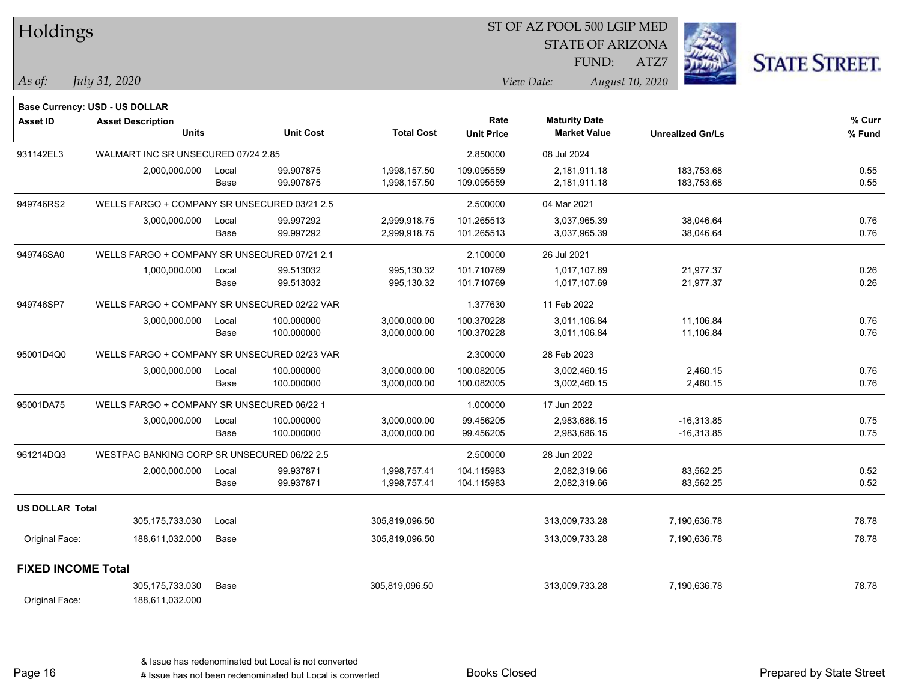| Holdings                  |                                              |       |                  |                   | ST OF AZ POOL 500 LGIP MED |                         |                         |              |                      |
|---------------------------|----------------------------------------------|-------|------------------|-------------------|----------------------------|-------------------------|-------------------------|--------------|----------------------|
|                           |                                              |       |                  |                   |                            | <b>STATE OF ARIZONA</b> |                         |              |                      |
|                           |                                              |       |                  |                   |                            | <b>FUND:</b>            | ATZ7                    |              | <b>STATE STREET.</b> |
| $\vert$ As of:            | July 31, 2020                                |       |                  |                   |                            | View Date:              | August 10, 2020         |              |                      |
|                           | Base Currency: USD - US DOLLAR               |       |                  |                   |                            |                         |                         |              |                      |
| <b>Asset ID</b>           | <b>Asset Description</b>                     |       |                  |                   | Rate                       | <b>Maturity Date</b>    |                         |              | % Curr               |
|                           | <b>Units</b>                                 |       | <b>Unit Cost</b> | <b>Total Cost</b> | <b>Unit Price</b>          | <b>Market Value</b>     | <b>Unrealized Gn/Ls</b> |              | % Fund               |
| 931142EL3                 | WALMART INC SR UNSECURED 07/24 2.85          |       |                  |                   | 2.850000                   | 08 Jul 2024             |                         |              |                      |
|                           | 2,000,000.000                                | Local | 99.907875        | 1,998,157.50      | 109.095559                 | 2,181,911.18            |                         | 183,753.68   | 0.55                 |
|                           |                                              | Base  | 99.907875        | 1,998,157.50      | 109.095559                 | 2,181,911.18            |                         | 183,753.68   | 0.55                 |
| 949746RS2                 | WELLS FARGO + COMPANY SR UNSECURED 03/21 2.5 |       |                  |                   | 2.500000                   | 04 Mar 2021             |                         |              |                      |
|                           | 3,000,000.000                                | Local | 99.997292        | 2,999,918.75      | 101.265513                 | 3,037,965.39            |                         | 38,046.64    | 0.76                 |
|                           |                                              | Base  | 99.997292        | 2,999,918.75      | 101.265513                 | 3,037,965.39            |                         | 38,046.64    | 0.76                 |
| 949746SA0                 | WELLS FARGO + COMPANY SR UNSECURED 07/21 2.1 |       |                  |                   | 2.100000                   | 26 Jul 2021             |                         |              |                      |
|                           | 1,000,000.000                                | Local | 99.513032        | 995,130.32        | 101.710769                 | 1,017,107.69            |                         | 21,977.37    | 0.26                 |
|                           |                                              | Base  | 99.513032        | 995,130.32        | 101.710769                 | 1,017,107.69            |                         | 21,977.37    | 0.26                 |
| 949746SP7                 | WELLS FARGO + COMPANY SR UNSECURED 02/22 VAR |       |                  |                   | 1.377630                   | 11 Feb 2022             |                         |              |                      |
|                           | 3,000,000.000                                | Local | 100.000000       | 3,000,000.00      | 100.370228                 | 3,011,106.84            |                         | 11,106.84    | 0.76                 |
|                           |                                              | Base  | 100.000000       | 3,000,000.00      | 100.370228                 | 3,011,106.84            |                         | 11,106.84    | 0.76                 |
| 95001D4Q0                 | WELLS FARGO + COMPANY SR UNSECURED 02/23 VAR |       |                  |                   | 2.300000                   | 28 Feb 2023             |                         |              |                      |
|                           | 3,000,000.000                                | Local | 100.000000       | 3,000,000.00      | 100.082005                 | 3,002,460.15            |                         | 2,460.15     | 0.76                 |
|                           |                                              | Base  | 100.000000       | 3,000,000.00      | 100.082005                 | 3,002,460.15            |                         | 2,460.15     | 0.76                 |
| 95001DA75                 | WELLS FARGO + COMPANY SR UNSECURED 06/22 1   |       |                  |                   | 1.000000                   | 17 Jun 2022             |                         |              |                      |
|                           | 3,000,000.000                                | Local | 100.000000       | 3,000,000.00      | 99.456205                  | 2,983,686.15            |                         | $-16,313.85$ | 0.75                 |
|                           |                                              | Base  | 100.000000       | 3,000,000.00      | 99.456205                  | 2,983,686.15            |                         | $-16,313.85$ | 0.75                 |
| 961214DQ3                 | WESTPAC BANKING CORP SR UNSECURED 06/22 2.5  |       |                  |                   | 2.500000                   | 28 Jun 2022             |                         |              |                      |
|                           | 2,000,000.000                                | Local | 99.937871        | 1,998,757.41      | 104.115983                 | 2,082,319.66            |                         | 83,562.25    | 0.52                 |
|                           |                                              | Base  | 99.937871        | 1,998,757.41      | 104.115983                 | 2,082,319.66            |                         | 83,562.25    | 0.52                 |
| <b>US DOLLAR Total</b>    |                                              |       |                  |                   |                            |                         |                         |              |                      |
|                           | 305, 175, 733.030                            | Local |                  | 305,819,096.50    |                            | 313,009,733.28          | 7,190,636.78            |              | 78.78                |
| Original Face:            | 188,611,032.000                              | Base  |                  | 305,819,096.50    |                            | 313,009,733.28          | 7,190,636.78            |              | 78.78                |
| <b>FIXED INCOME Total</b> |                                              |       |                  |                   |                            |                         |                         |              |                      |
|                           | 305, 175, 733.030                            | Base  |                  | 305,819,096.50    |                            | 313,009,733.28          | 7,190,636.78            |              | 78.78                |
| Original Face:            | 188,611,032.000                              |       |                  |                   |                            |                         |                         |              |                      |

Page 16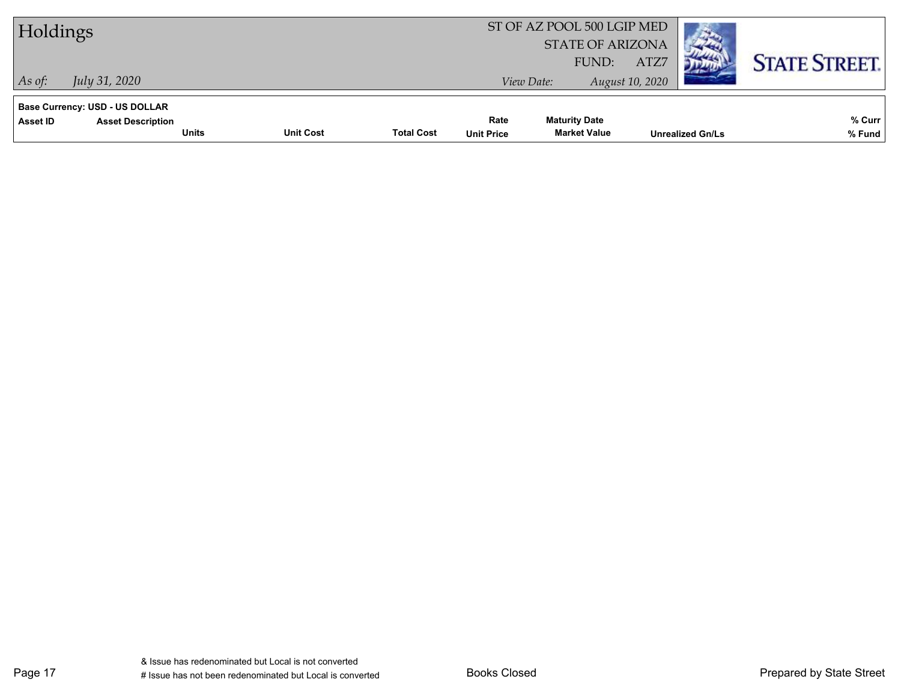| Holdings                                                                                      |                  | ST OF AZ POOL 500 LGIP MED<br><b>STATE OF ARIZONA</b> |                           |                                             |                         |                         |                      |
|-----------------------------------------------------------------------------------------------|------------------|-------------------------------------------------------|---------------------------|---------------------------------------------|-------------------------|-------------------------|----------------------|
| <i>July 31, 2020</i><br>As of:                                                                |                  |                                                       |                           | FUND:<br>View Date:                         | ATZ7<br>August 10, 2020 |                         | <b>STATE STREET.</b> |
| Base Currency: USD - US DOLLAR<br><b>Asset ID</b><br><b>Asset Description</b><br><b>Units</b> | <b>Unit Cost</b> | <b>Total Cost</b>                                     | Rate<br><b>Unit Price</b> | <b>Maturity Date</b><br><b>Market Value</b> |                         | <b>Unrealized Gn/Ls</b> | % Curr<br>% Fund     |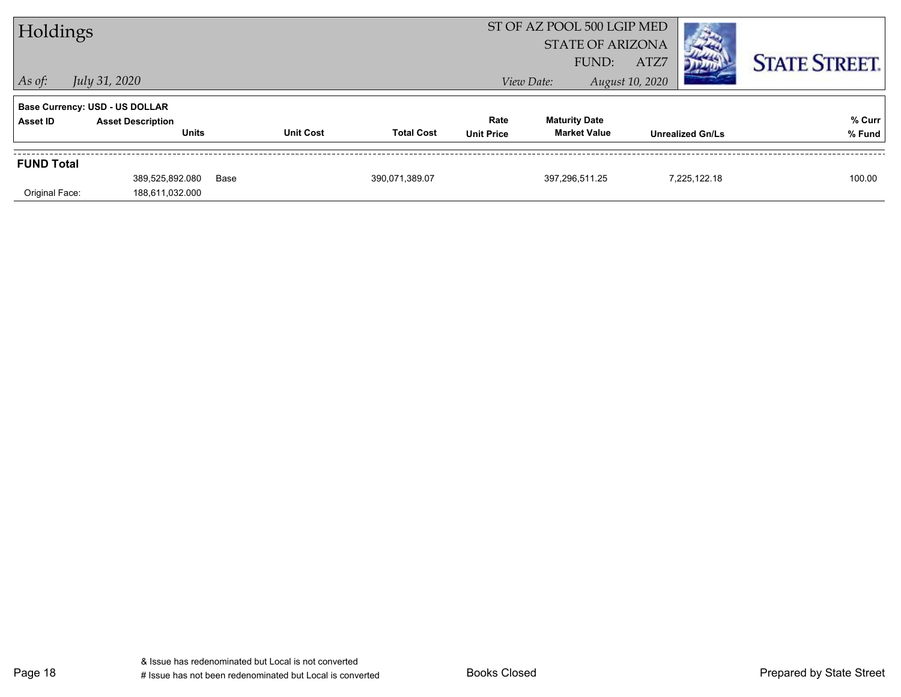| Holdings          |                                          |      |                  |                   |                           | ST OF AZ POOL 500 LGIP MED<br><b>STATE OF ARIZONA</b><br>FUND: | ATZ7                    | <b>STATE STREET.</b> |
|-------------------|------------------------------------------|------|------------------|-------------------|---------------------------|----------------------------------------------------------------|-------------------------|----------------------|
| $ $ As of:        | July 31, 2020                            |      |                  |                   |                           | View Date:                                                     | August 10, 2020         |                      |
|                   | Base Currency: USD - US DOLLAR           |      |                  |                   |                           |                                                                |                         |                      |
| Asset ID          | <b>Asset Description</b><br><b>Units</b> |      | <b>Unit Cost</b> | <b>Total Cost</b> | Rate<br><b>Unit Price</b> | <b>Maturity Date</b><br><b>Market Value</b>                    | <b>Unrealized Gn/Ls</b> | % Curr<br>% Fund     |
| <b>FUND Total</b> |                                          |      |                  |                   |                           |                                                                |                         |                      |
|                   | 389,525,892.080                          | Base |                  | 390,071,389.07    |                           | 397,296,511.25                                                 | 7,225,122.18            | 100.00               |
| Original Face:    | 188,611,032.000                          |      |                  |                   |                           |                                                                |                         |                      |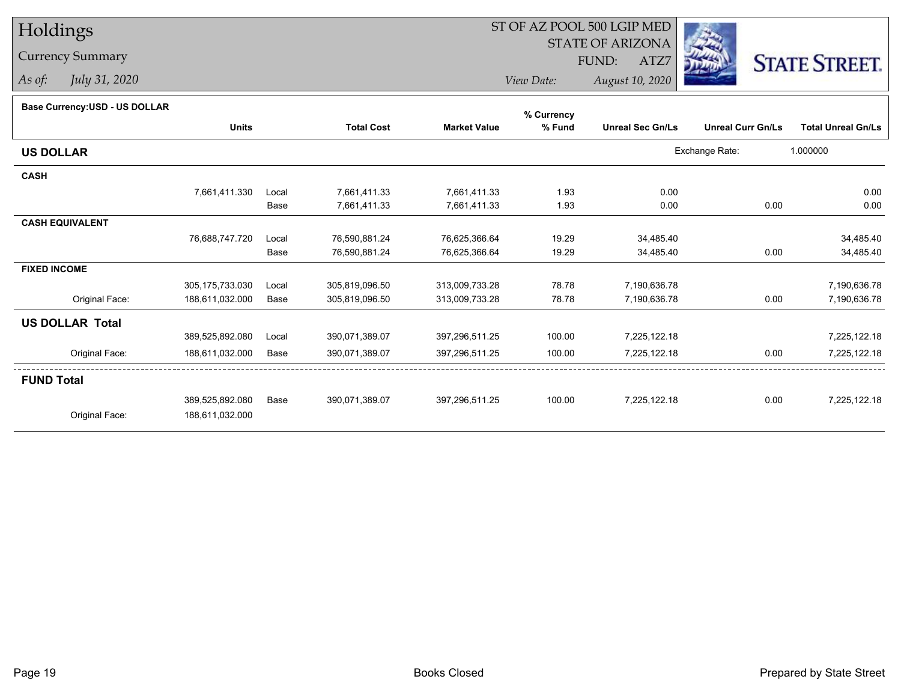# Holdings

### Currency Summary

*As of: July 31, 2020*

## ST OF AZ POOL 500 LGIP MED

 STATE OF ARIZONAFUND:

ATZ7



*View Date:August 10, 2020*

| Dase Currency.COD - OO DOLLAR |                   |       |                   |                     | % Currency |                         |                          |                           |
|-------------------------------|-------------------|-------|-------------------|---------------------|------------|-------------------------|--------------------------|---------------------------|
|                               | <b>Units</b>      |       | <b>Total Cost</b> | <b>Market Value</b> | % Fund     | <b>Unreal Sec Gn/Ls</b> | <b>Unreal Curr Gn/Ls</b> | <b>Total Unreal Gn/Ls</b> |
| <b>US DOLLAR</b>              |                   |       |                   |                     |            |                         | Exchange Rate:           | 1.000000                  |
| <b>CASH</b>                   |                   |       |                   |                     |            |                         |                          |                           |
|                               | 7,661,411.330     | Local | 7,661,411.33      | 7,661,411.33        | 1.93       | 0.00                    |                          | 0.00                      |
|                               |                   | Base  | 7,661,411.33      | 7,661,411.33        | 1.93       | 0.00                    | 0.00                     | 0.00                      |
| <b>CASH EQUIVALENT</b>        |                   |       |                   |                     |            |                         |                          |                           |
|                               | 76,688,747.720    | Local | 76,590,881.24     | 76,625,366.64       | 19.29      | 34,485.40               |                          | 34,485.40                 |
|                               |                   | Base  | 76,590,881.24     | 76,625,366.64       | 19.29      | 34,485.40               | 0.00                     | 34,485.40                 |
| <b>FIXED INCOME</b>           |                   |       |                   |                     |            |                         |                          |                           |
|                               | 305, 175, 733.030 | Local | 305,819,096.50    | 313,009,733.28      | 78.78      | 7,190,636.78            |                          | 7,190,636.78              |
| Original Face:                | 188,611,032.000   | Base  | 305,819,096.50    | 313,009,733.28      | 78.78      | 7,190,636.78            | 0.00                     | 7,190,636.78              |
| <b>US DOLLAR Total</b>        |                   |       |                   |                     |            |                         |                          |                           |
|                               | 389,525,892.080   | Local | 390,071,389.07    | 397,296,511.25      | 100.00     | 7,225,122.18            |                          | 7,225,122.18              |
| Original Face:                | 188,611,032.000   | Base  | 390,071,389.07    | 397,296,511.25      | 100.00     | 7,225,122.18            | 0.00                     | 7,225,122.18              |
| <b>FUND Total</b>             |                   |       |                   |                     |            |                         |                          |                           |
|                               | 389,525,892.080   | Base  | 390,071,389.07    | 397,296,511.25      | 100.00     | 7,225,122.18            | 0.00                     | 7,225,122.18              |
| Original Face:                | 188,611,032.000   |       |                   |                     |            |                         |                          |                           |
|                               |                   |       |                   |                     |            |                         |                          |                           |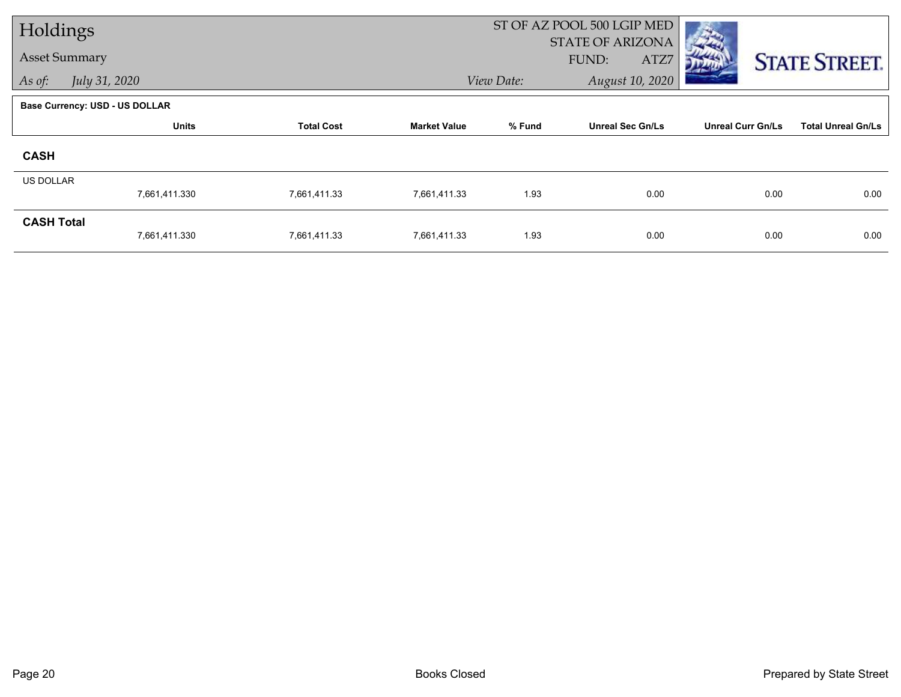| Holdings             |                                       |                   |                     |            | ST OF AZ POOL 500 LGIP MED               |                          |                           |
|----------------------|---------------------------------------|-------------------|---------------------|------------|------------------------------------------|--------------------------|---------------------------|
| <b>Asset Summary</b> |                                       |                   |                     |            | <b>STATE OF ARIZONA</b><br>FUND:<br>ATZ7 |                          | <b>STATE STREET.</b>      |
| As of:               | July 31, 2020                         |                   |                     | View Date: | August 10, 2020                          |                          |                           |
|                      | <b>Base Currency: USD - US DOLLAR</b> |                   |                     |            |                                          |                          |                           |
|                      | <b>Units</b>                          | <b>Total Cost</b> | <b>Market Value</b> | % Fund     | <b>Unreal Sec Gn/Ls</b>                  | <b>Unreal Curr Gn/Ls</b> | <b>Total Unreal Gn/Ls</b> |
| <b>CASH</b>          |                                       |                   |                     |            |                                          |                          |                           |
| US DOLLAR            |                                       |                   |                     |            |                                          |                          |                           |
|                      | 7,661,411.330                         | 7,661,411.33      | 7,661,411.33        | 1.93       | 0.00                                     | 0.00                     | 0.00                      |
| <b>CASH Total</b>    |                                       |                   |                     |            |                                          |                          |                           |
|                      | 7,661,411.330                         | 7,661,411.33      | 7,661,411.33        | 1.93       | 0.00                                     | 0.00                     | 0.00                      |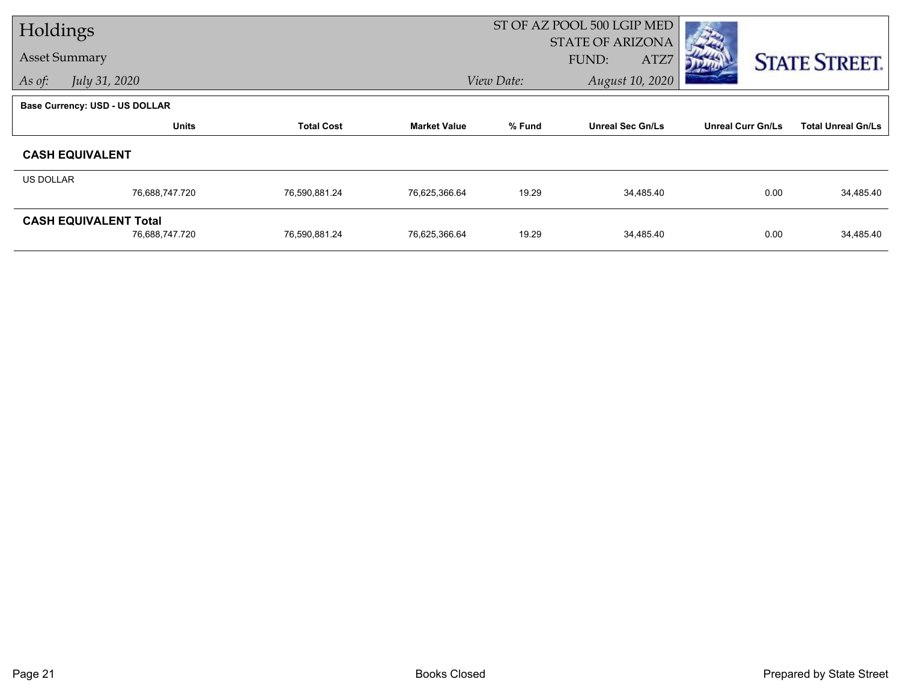| Holdings         |                                |                   |                     |            | ST OF AZ POOL 500 LGIP MED |                          |                           |
|------------------|--------------------------------|-------------------|---------------------|------------|----------------------------|--------------------------|---------------------------|
|                  |                                |                   |                     |            | <b>STATE OF ARIZONA</b>    |                          |                           |
|                  | <b>Asset Summary</b>           |                   |                     |            | ATZ7<br>FUND:              |                          | <b>STATE STREET.</b>      |
| As of:           | July 31, 2020                  |                   |                     | View Date: | August 10, 2020            |                          |                           |
|                  | Base Currency: USD - US DOLLAR |                   |                     |            |                            |                          |                           |
|                  | <b>Units</b>                   | <b>Total Cost</b> | <b>Market Value</b> | % Fund     | <b>Unreal Sec Gn/Ls</b>    | <b>Unreal Curr Gn/Ls</b> | <b>Total Unreal Gn/Ls</b> |
|                  | <b>CASH EQUIVALENT</b>         |                   |                     |            |                            |                          |                           |
| <b>US DOLLAR</b> |                                |                   |                     |            |                            |                          |                           |
|                  | 76,688,747.720                 | 76,590,881.24     | 76,625,366.64       | 19.29      | 34,485.40                  | 0.00                     | 34,485.40                 |
|                  | <b>CASH EQUIVALENT Total</b>   |                   |                     |            |                            |                          |                           |
|                  | 76,688,747.720                 | 76,590,881.24     | 76,625,366.64       | 19.29      | 34,485.40                  | 0.00                     | 34,485.40                 |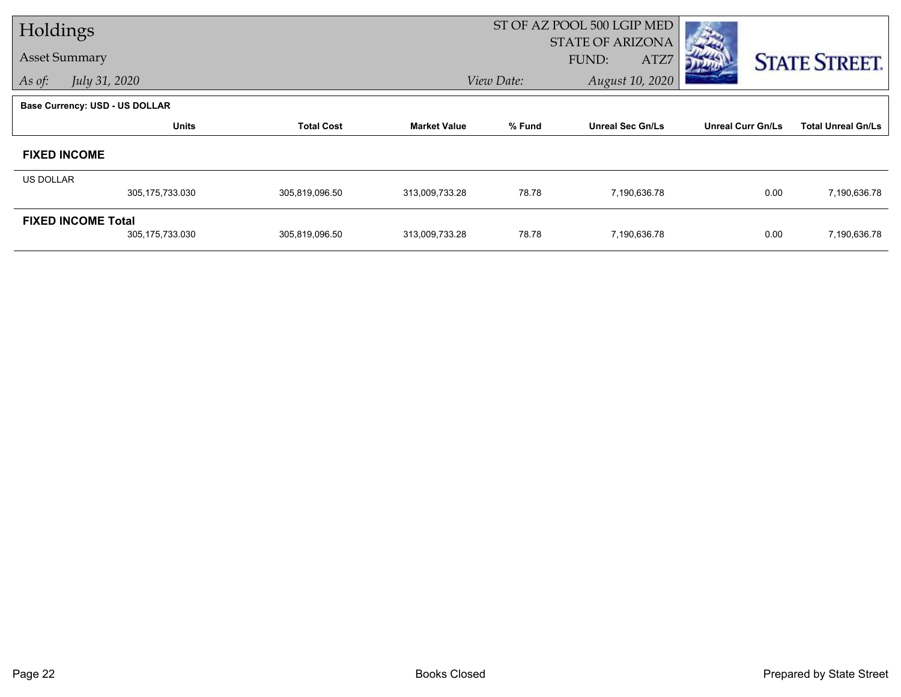| Holdings             |                                                |                   |                     |            | ST OF AZ POOL 500 LGIP MED               |                          |                           |
|----------------------|------------------------------------------------|-------------------|---------------------|------------|------------------------------------------|--------------------------|---------------------------|
| <b>Asset Summary</b> |                                                |                   |                     |            | <b>STATE OF ARIZONA</b><br>FUND:<br>ATZ7 |                          | <b>STATE STREET.</b>      |
| As of:               | July 31, 2020                                  |                   |                     | View Date: | August 10, 2020                          |                          |                           |
|                      | <b>Base Currency: USD - US DOLLAR</b>          |                   |                     |            |                                          |                          |                           |
|                      | <b>Units</b>                                   | <b>Total Cost</b> | <b>Market Value</b> | % Fund     | <b>Unreal Sec Gn/Ls</b>                  | <b>Unreal Curr Gn/Ls</b> | <b>Total Unreal Gn/Ls</b> |
| <b>FIXED INCOME</b>  |                                                |                   |                     |            |                                          |                          |                           |
| <b>US DOLLAR</b>     |                                                |                   |                     |            |                                          |                          |                           |
|                      | 305,175,733.030                                | 305,819,096.50    | 313,009,733.28      | 78.78      | 7,190,636.78                             | 0.00                     | 7,190,636.78              |
|                      | <b>FIXED INCOME Total</b><br>305, 175, 733.030 | 305,819,096.50    | 313,009,733.28      | 78.78      | 7,190,636.78                             | 0.00                     | 7,190,636.78              |
|                      |                                                |                   |                     |            |                                          |                          |                           |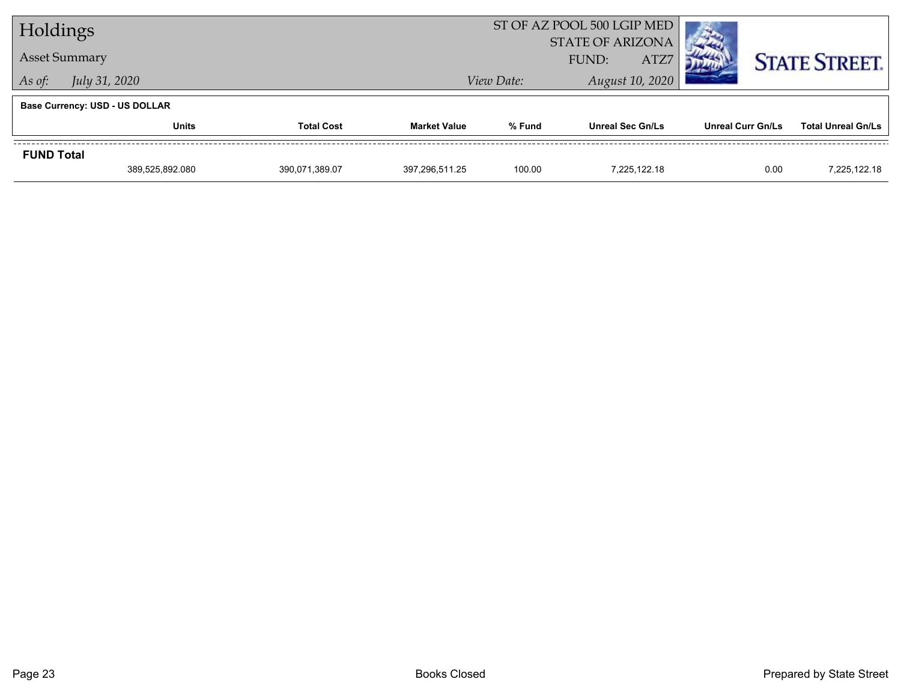| Holdings          |                                       |                | ST OF AZ POOL 500 LGIP MED    |                                          |                         |                          |                           |
|-------------------|---------------------------------------|----------------|-------------------------------|------------------------------------------|-------------------------|--------------------------|---------------------------|
|                   | <b>Asset Summary</b>                  |                |                               | <b>STATE OF ARIZONA</b><br>ATZ7<br>FUND: |                         |                          | <b>STATE STREET.</b>      |
| As of:            | <i>July 31, 2020</i>                  |                | August 10, 2020<br>View Date: |                                          |                         |                          |                           |
|                   | <b>Base Currency: USD - US DOLLAR</b> |                |                               |                                          |                         |                          |                           |
|                   | <b>Units</b><br><b>Total Cost</b>     |                | <b>Market Value</b>           | % Fund                                   | <b>Unreal Sec Gn/Ls</b> | <b>Unreal Curr Gn/Ls</b> | <b>Total Unreal Gn/Ls</b> |
| <b>FUND Total</b> |                                       |                |                               |                                          |                         |                          |                           |
|                   | 389,525,892.080                       | 390,071,389.07 | 397.296.511.25                | 100.00                                   | 7.225.122.18            | 0.00                     | 7,225,122.18              |